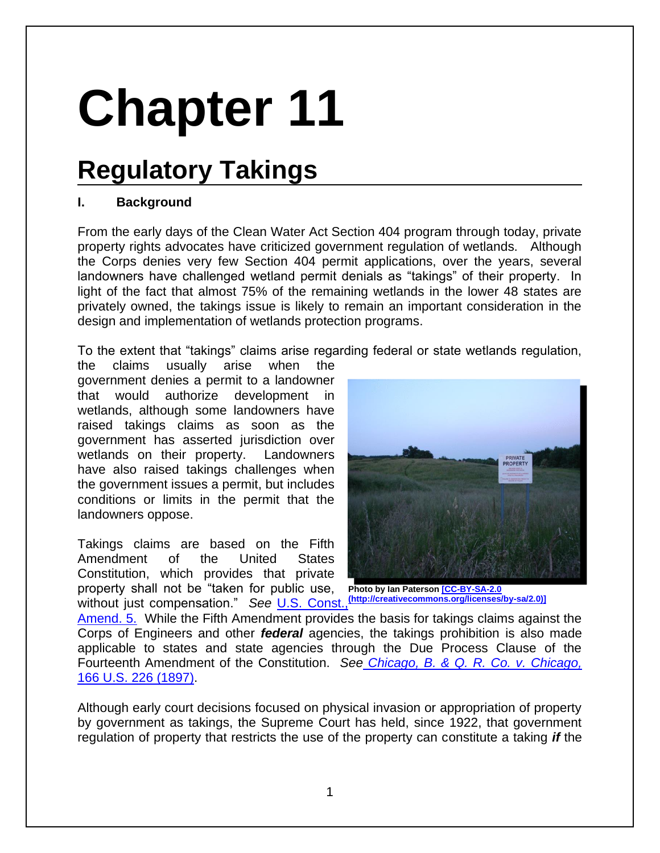# **Chapter 11**

# **Regulatory Takings**

# **I. Background**

From the early days of the Clean Water Act Section 404 program through today, private property rights advocates have criticized government regulation of wetlands. Although the Corps denies very few Section 404 permit applications, over the years, several landowners have challenged wetland permit denials as "takings" of their property. In light of the fact that almost 75% of the remaining wetlands in the lower 48 states are privately owned, the takings issue is likely to remain an important consideration in the design and implementation of wetlands protection programs.

To the extent that "takings" claims arise regarding federal or state wetlands regulation,

the claims usually arise when the government denies a permit to a landowner that would authorize development in wetlands, although some landowners have raised takings claims as soon as the government has asserted jurisdiction over wetlands on their property. Landowners have also raised takings challenges when the government issues a permit, but includes conditions or limits in the permit that the landowners oppose.

Takings claims are based on the Fifth Amendment of the United States Constitution, which provides that private property shall not be "taken for public use, without just compensation." *See* [U.S. Const.,](http://www.law.cornell.edu/constitution/fifth_amendment)  **[\(http://creativecommons.org/licenses/by-sa/2.0\)\]](http://commons.wikimedia.org/wiki/File%3APrivate_Property_-_geograph.org.uk_-_838016.jpg)**



**Photo by Ian Paterson [\[CC-BY-SA-2.0](http://commons.wikimedia.org/wiki/File%3APrivate_Property_-_geograph.org.uk_-_838016.jpg)** 

[Amend. 5.](http://www.law.cornell.edu/constitution/fifth_amendment) While the Fifth Amendment provides the basis for takings claims against the Corps of Engineers and other *federal* agencies, the takings prohibition is also made applicable to states and state agencies through the Due Process Clause of the Fourteenth Amendment of the Constitution. *See [Chicago, B. & Q. R. Co. v. Chicago,](http://supreme.justia.com/cases/federal/us/166/226/case.html)*  [166 U.S. 226 \(1897\).](http://supreme.justia.com/cases/federal/us/166/226/case.html)

Although early court decisions focused on physical invasion or appropriation of property by government as takings, the Supreme Court has held, since 1922, that government regulation of property that restricts the use of the property can constitute a taking *if* the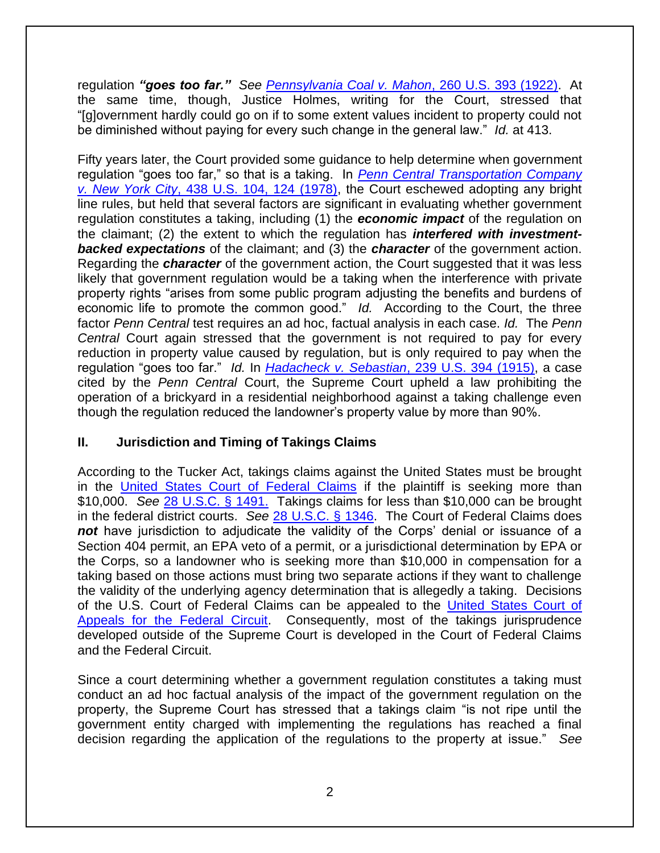regulation *"goes too far." See [Pennsylvania Coal v. Mahon](http://www.law.cornell.edu/supremecourt/text/260/393)*, 260 U.S. 393 (1922). At the same time, though, Justice Holmes, writing for the Court, stressed that "[g]overnment hardly could go on if to some extent values incident to property could not be diminished without paying for every such change in the general law." *Id.* at 413.

Fifty years later, the Court provided some guidance to help determine when government regulation "goes too far," so that is a taking. In *[Penn Central Transportation Company](http://supreme.justia.com/cases/federal/us/438/104/case.html)  v. New York City*[, 438 U.S. 104, 124 \(1978\),](http://supreme.justia.com/cases/federal/us/438/104/case.html) the Court eschewed adopting any bright line rules, but held that several factors are significant in evaluating whether government regulation constitutes a taking, including (1) the *economic impact* of the regulation on the claimant; (2) the extent to which the regulation has *interfered with investmentbacked expectations* of the claimant; and (3) the *character* of the government action. Regarding the *character* of the government action, the Court suggested that it was less likely that government regulation would be a taking when the interference with private property rights "arises from some public program adjusting the benefits and burdens of economic life to promote the common good." *Id.* According to the Court, the three factor *Penn Central* test requires an ad hoc, factual analysis in each case. *Id.* The *Penn Central* Court again stressed that the government is not required to pay for every reduction in property value caused by regulation, but is only required to pay when the regulation "goes too far." *Id.* In *[Hadacheck v. Sebastian](https://supreme.justia.com/cases/federal/us/239/394/case.html)*, 239 U.S. 394 (1915), a case cited by the *Penn Central* Court, the Supreme Court upheld a law prohibiting the operation of a brickyard in a residential neighborhood against a taking challenge even though the regulation reduced the landowner's property value by more than 90%.

# **II. Jurisdiction and Timing of Takings Claims**

According to the Tucker Act, takings claims against the United States must be brought in the [United States Court of Federal Claims](http://www.uscfc.uscourts.gov/) if the plaintiff is seeking more than \$10,000. *See* [28 U.S.C. § 1491.](http://www.law.cornell.edu/uscode/text/28/1491) Takings claims for less than \$10,000 can be brought in the federal district courts. *See* [28 U.S.C. § 1346.](http://www.law.cornell.edu/uscode/text/28/1346) The Court of Federal Claims does *not* have jurisdiction to adjudicate the validity of the Corps' denial or issuance of a Section 404 permit, an EPA veto of a permit, or a jurisdictional determination by EPA or the Corps, so a landowner who is seeking more than \$10,000 in compensation for a taking based on those actions must bring two separate actions if they want to challenge the validity of the underlying agency determination that is allegedly a taking. Decisions of the U.S. Court of Federal Claims can be appealed to the [United States Court of](http://www.cafc.uscourts.gov/)  [Appeals for the Federal Circuit.](http://www.cafc.uscourts.gov/) Consequently, most of the takings jurisprudence developed outside of the Supreme Court is developed in the Court of Federal Claims and the Federal Circuit.

Since a court determining whether a government regulation constitutes a taking must conduct an ad hoc factual analysis of the impact of the government regulation on the property, the Supreme Court has stressed that a takings claim "is not ripe until the government entity charged with implementing the regulations has reached a final decision regarding the application of the regulations to the property at issue." *See*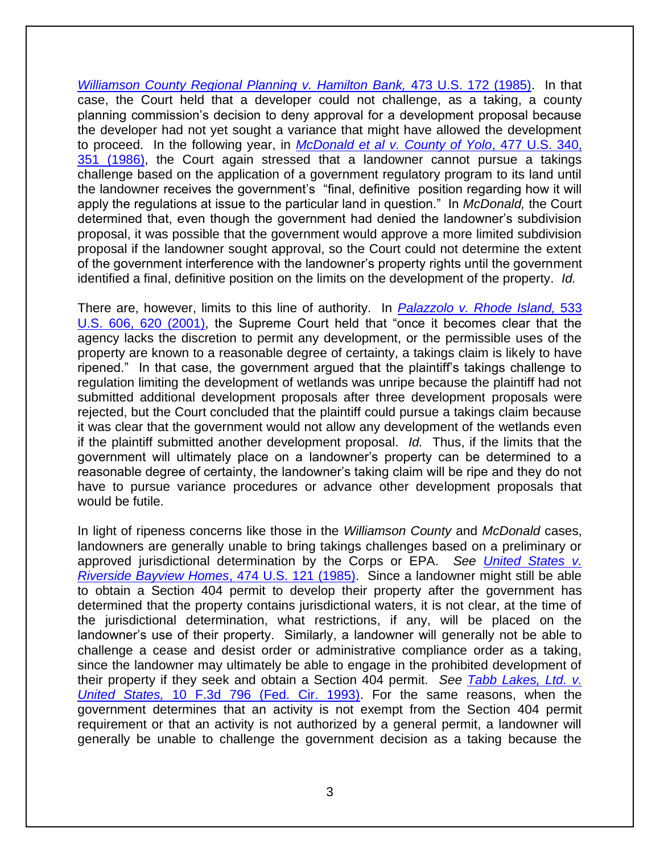*[Williamson County Regional Planning v. Hamilton Bank,](http://supreme.justia.com/cases/federal/us/473/172/case.html)* 473 U.S. 172 (1985). In that case, the Court held that a developer could not challenge, as a taking, a county planning commission's decision to deny approval for a development proposal because the developer had not yet sought a variance that might have allowed the development to proceed. In the following year, in *[McDonald et al v. County of Yolo](http://supreme.justia.com/cases/federal/us/477/340/case.html)*, 477 U.S. 340, [351 \(1986\),](http://supreme.justia.com/cases/federal/us/477/340/case.html) the Court again stressed that a landowner cannot pursue a takings challenge based on the application of a government regulatory program to its land until the landowner receives the government's "final, definitive position regarding how it will apply the regulations at issue to the particular land in question." In *McDonald,* the Court determined that, even though the government had denied the landowner's subdivision proposal, it was possible that the government would approve a more limited subdivision proposal if the landowner sought approval, so the Court could not determine the extent of the government interference with the landowner's property rights until the government identified a final, definitive position on the limits on the development of the property. *Id.* 

There are, however, limits to this line of authority. In *[Palazzolo v. Rhode Island,](http://supreme.justia.com/cases/federal/us/533/606/case.html)* 533 [U.S. 606, 620 \(2001\),](http://supreme.justia.com/cases/federal/us/533/606/case.html) the Supreme Court held that "once it becomes clear that the agency lacks the discretion to permit any development, or the permissible uses of the property are known to a reasonable degree of certainty, a takings claim is likely to have ripened." In that case, the government argued that the plaintiff's takings challenge to regulation limiting the development of wetlands was unripe because the plaintiff had not submitted additional development proposals after three development proposals were rejected, but the Court concluded that the plaintiff could pursue a takings claim because it was clear that the government would not allow any development of the wetlands even if the plaintiff submitted another development proposal. *Id.* Thus, if the limits that the government will ultimately place on a landowner's property can be determined to a reasonable degree of certainty, the landowner's taking claim will be ripe and they do not have to pursue variance procedures or advance other development proposals that would be futile.

In light of ripeness concerns like those in the *Williamson County* and *McDonald* cases, landowners are generally unable to bring takings challenges based on a preliminary or approved jurisdictional determination by the Corps or EPA. *See [United States v.](http://supreme.justia.com/cases/federal/us/474/121/)  [Riverside Bayview Homes](http://supreme.justia.com/cases/federal/us/474/121/)*, 474 U.S. 121 (1985). Since a landowner might still be able to obtain a Section 404 permit to develop their property after the government has determined that the property contains jurisdictional waters, it is not clear, at the time of the jurisdictional determination, what restrictions, if any, will be placed on the landowner's use of their property. Similarly, a landowner will generally not be able to challenge a cease and desist order or administrative compliance order as a taking, since the landowner may ultimately be able to engage in the prohibited development of their property if they seek and obtain a Section 404 permit. *See [Tabb Lakes, Ltd. v.](http://law.justia.com/cases/federal/appellate-courts/F3/10/796/584020/)  United States,* [10 F.3d 796 \(Fed. Cir. 1993\).](http://law.justia.com/cases/federal/appellate-courts/F3/10/796/584020/) For the same reasons, when the government determines that an activity is not exempt from the Section 404 permit requirement or that an activity is not authorized by a general permit, a landowner will generally be unable to challenge the government decision as a taking because the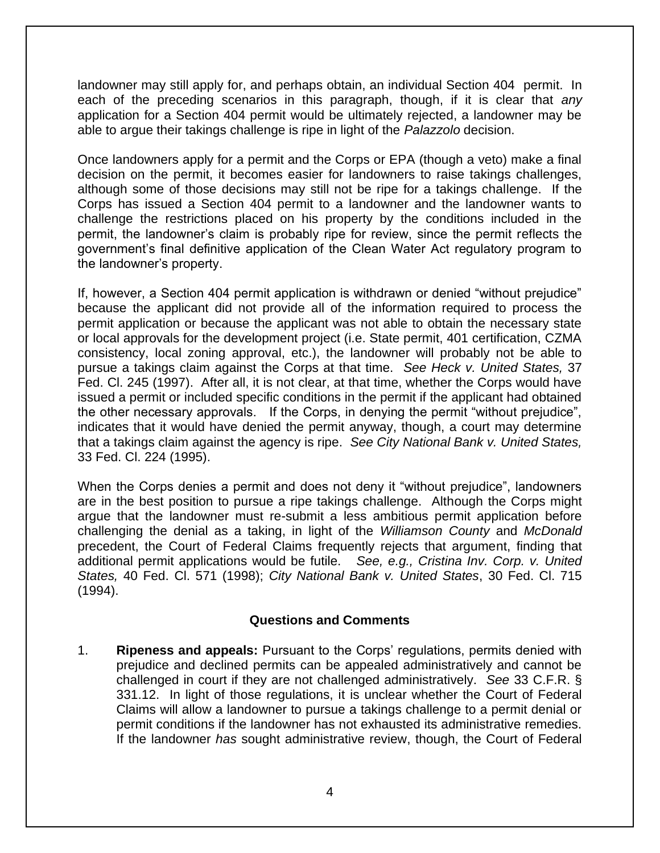landowner may still apply for, and perhaps obtain, an individual Section 404 permit. In each of the preceding scenarios in this paragraph, though, if it is clear that *any* application for a Section 404 permit would be ultimately rejected, a landowner may be able to argue their takings challenge is ripe in light of the *Palazzolo* decision.

Once landowners apply for a permit and the Corps or EPA (though a veto) make a final decision on the permit, it becomes easier for landowners to raise takings challenges, although some of those decisions may still not be ripe for a takings challenge. If the Corps has issued a Section 404 permit to a landowner and the landowner wants to challenge the restrictions placed on his property by the conditions included in the permit, the landowner's claim is probably ripe for review, since the permit reflects the government's final definitive application of the Clean Water Act regulatory program to the landowner's property.

If, however, a Section 404 permit application is withdrawn or denied "without prejudice" because the applicant did not provide all of the information required to process the permit application or because the applicant was not able to obtain the necessary state or local approvals for the development project (i.e. State permit, 401 certification, CZMA consistency, local zoning approval, etc.), the landowner will probably not be able to pursue a takings claim against the Corps at that time. *See Heck v. United States,* 37 Fed. Cl. 245 (1997). After all, it is not clear, at that time, whether the Corps would have issued a permit or included specific conditions in the permit if the applicant had obtained the other necessary approvals. If the Corps, in denying the permit "without prejudice", indicates that it would have denied the permit anyway, though, a court may determine that a takings claim against the agency is ripe. *See City National Bank v. United States,* 33 Fed. Cl. 224 (1995).

When the Corps denies a permit and does not deny it "without prejudice", landowners are in the best position to pursue a ripe takings challenge. Although the Corps might argue that the landowner must re-submit a less ambitious permit application before challenging the denial as a taking, in light of the *Williamson County* and *McDonald* precedent, the Court of Federal Claims frequently rejects that argument, finding that additional permit applications would be futile. *See, e.g., Cristina Inv. Corp. v. United States,* 40 Fed. Cl. 571 (1998); *City National Bank v. United States*, 30 Fed. Cl. 715 (1994).

#### **Questions and Comments**

1. **Ripeness and appeals:** Pursuant to the Corps' regulations, permits denied with prejudice and declined permits can be appealed administratively and cannot be challenged in court if they are not challenged administratively. *See* 33 C.F.R. § 331.12. In light of those regulations, it is unclear whether the Court of Federal Claims will allow a landowner to pursue a takings challenge to a permit denial or permit conditions if the landowner has not exhausted its administrative remedies. If the landowner *has* sought administrative review, though, the Court of Federal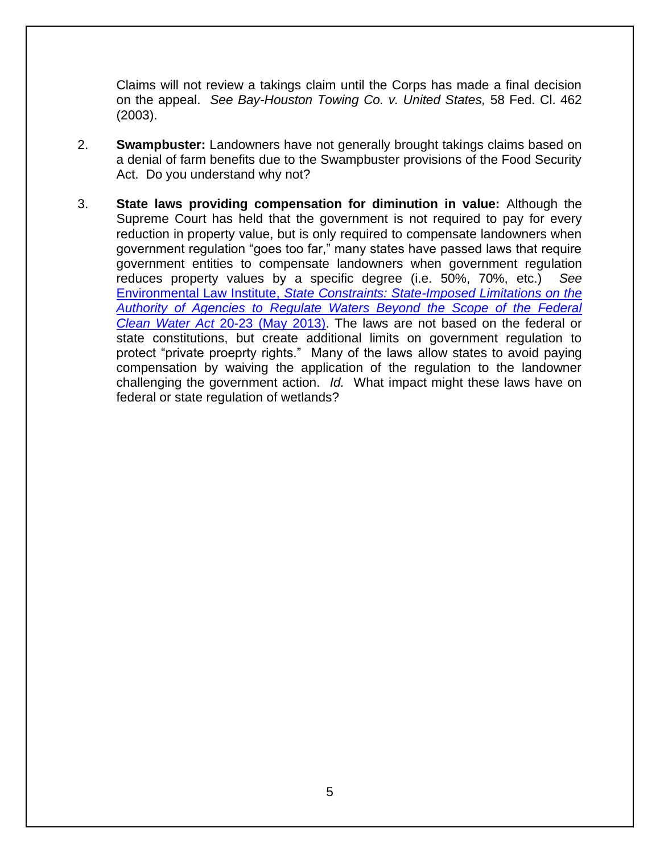Claims will not review a takings claim until the Corps has made a final decision on the appeal. *See Bay-Houston Towing Co. v. United States,* 58 Fed. Cl. 462 (2003).

- 2. **Swampbuster:** Landowners have not generally brought takings claims based on a denial of farm benefits due to the Swampbuster provisions of the Food Security Act. Do you understand why not?
- 3. **State laws providing compensation for diminution in value:** Although the Supreme Court has held that the government is not required to pay for every reduction in property value, but is only required to compensate landowners when government regulation "goes too far," many states have passed laws that require government entities to compensate landowners when government regulation reduces property values by a specific degree (i.e. 50%, 70%, etc.) *See* Environmental Law Institute, *[State Constraints: State-Imposed Limitations on the](http://www.eli.org/sites/default/files/eli-pubs/d23-04.pdf)  Authority of Agencies to [Regulate Waters Beyond the Scope of the Federal](http://www.eli.org/sites/default/files/eli-pubs/d23-04.pdf)  Clean Water Act* [20-23 \(May 2013\).](http://www.eli.org/sites/default/files/eli-pubs/d23-04.pdf) The laws are not based on the federal or state constitutions, but create additional limits on government regulation to protect "private proeprty rights." Many of the laws allow states to avoid paying compensation by waiving the application of the regulation to the landowner challenging the government action. *Id.* What impact might these laws have on federal or state regulation of wetlands?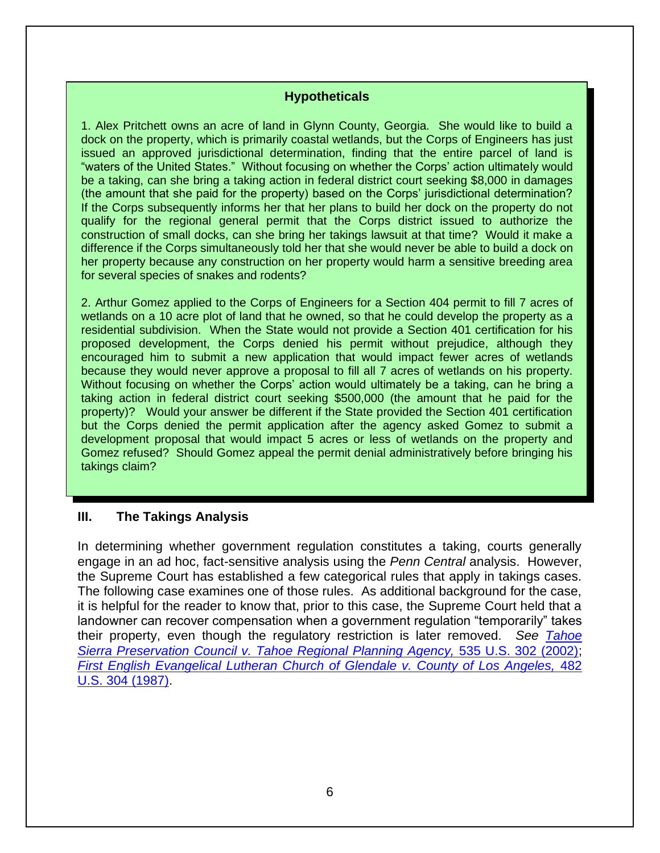#### **Hypotheticals**

1. Alex Pritchett owns an acre of land in Glynn County, Georgia. She would like to build a dock on the property, which is primarily coastal wetlands, but the Corps of Engineers has just issued an approved jurisdictional determination, finding that the entire parcel of land is "waters of the United States." Without focusing on whether the Corps' action ultimately would be a taking, can she bring a taking action in federal district court seeking \$8,000 in damages (the amount that she paid for the property) based on the Corps' jurisdictional determination? If the Corps subsequently informs her that her plans to build her dock on the property do not qualify for the regional general permit that the Corps district issued to authorize the construction of small docks, can she bring her takings lawsuit at that time? Would it make a difference if the Corps simultaneously told her that she would never be able to build a dock on her property because any construction on her property would harm a sensitive breeding area for several species of snakes and rodents?

2. Arthur Gomez applied to the Corps of Engineers for a Section 404 permit to fill 7 acres of wetlands on a 10 acre plot of land that he owned, so that he could develop the property as a residential subdivision. When the State would not provide a Section 401 certification for his proposed development, the Corps denied his permit without prejudice, although they encouraged him to submit a new application that would impact fewer acres of wetlands because they would never approve a proposal to fill all 7 acres of wetlands on his property. Without focusing on whether the Corps' action would ultimately be a taking, can he bring a taking action in federal district court seeking \$500,000 (the amount that he paid for the property)? Would your answer be different if the State provided the Section 401 certification but the Corps denied the permit application after the agency asked Gomez to submit a development proposal that would impact 5 acres or less of wetlands on the property and Gomez refused? Should Gomez appeal the permit denial administratively before bringing his takings claim?

#### **III. The Takings Analysis**

In determining whether government regulation constitutes a taking, courts generally engage in an ad hoc, fact-sensitive analysis using the *Penn Central* analysis. However, the Supreme Court has established a few categorical rules that apply in takings cases. The following case examines one of those rules. As additional background for the case, it is helpful for the reader to know that, prior to this case, the Supreme Court held that a landowner can recover compensation when a government regulation "temporarily" takes their property, even though the regulatory restriction is later removed. *See [Tahoe](http://www.law.cornell.edu/supct/html/00-1167.ZS.html)  [Sierra Preservation Council v. Tahoe Regional Planning Agency,](http://www.law.cornell.edu/supct/html/00-1167.ZS.html)* 535 U.S. 302 (2002); **[First English Evangelical Lutheran Church of Glendale v. County of Los Angeles,](http://supreme.justia.com/cases/federal/us/482/304/) 482** [U.S. 304 \(1987\).](http://supreme.justia.com/cases/federal/us/482/304/)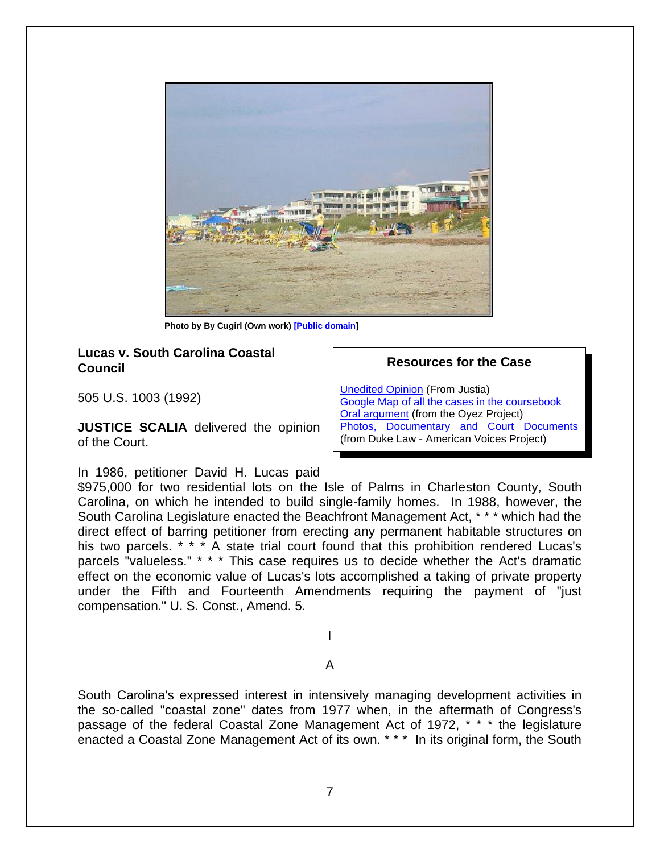

**Photo by By Cugirl (Own work[\) \[Public domain\]](http://commons.wikimedia.org/wiki/File:Iop.jpg)**

#### **Lucas v. South Carolina Coastal Council**

505 U.S. 1003 (1992)

**JUSTICE SCALIA** delivered the opinion of the Court.

In 1986, petitioner David H. Lucas paid

#### **Resources for the Case**

[Unedited Opinion](http://supreme.justia.com/cases/federal/us/505/1003/case.html) (From Justia) Google [Map of all the cases in the coursebook](https://mapsengine.google.com/map/viewer?mid=z7VLNS5X2EBs.k2lYjQFqDWiI) **[Oral argument](http://www.oyez.org/cases/1990-1999/1991/1991_91_453/argument)** (from the Oyez Project) [Photos, Documentary and Court Documents](https://law.duke.edu/voices/lucas/) (from Duke Law - American Voices Project)

\$975,000 for two residential lots on the Isle of Palms in Charleston County, South Carolina, on which he intended to build single-family homes. In 1988, however, the South Carolina Legislature enacted the Beachfront Management Act, \* \* \* which had the direct effect of barring petitioner from erecting any permanent habitable structures on his two parcels. \* \* \* A state trial court found that this prohibition rendered Lucas's parcels "valueless." \* \* \* This case requires us to decide whether the Act's dramatic effect on the economic value of Lucas's lots accomplished a taking of private property under the Fifth and Fourteenth Amendments requiring the payment of "just compensation." U. S. Const., Amend. 5.

# I

#### A

South Carolina's expressed interest in intensively managing development activities in the so-called "coastal zone" dates from 1977 when, in the aftermath of Congress's passage of the federal Coastal Zone Management Act of 1972, \* \* \* the legislature enacted a Coastal Zone Management Act of its own. \* \* \* In its original form, the South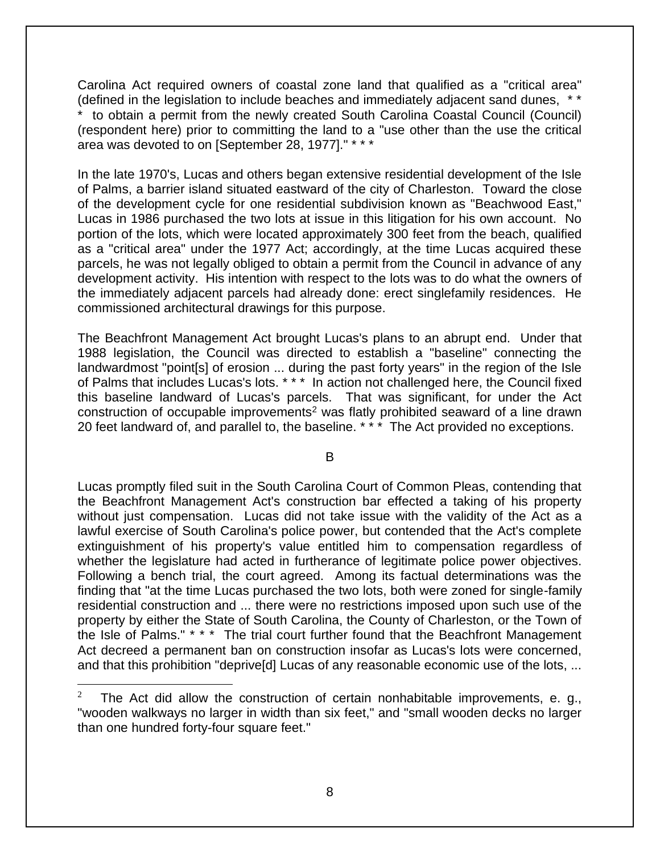Carolina Act required owners of coastal zone land that qualified as a "critical area" (defined in the legislation to include beaches and immediately adjacent sand dunes, \* \* to obtain a permit from the newly created South Carolina Coastal Council (Council) (respondent here) prior to committing the land to a "use other than the use the critical area was devoted to on [September 28, 1977]." \* \* \*

In the late 1970's, Lucas and others began extensive residential development of the Isle of Palms, a barrier island situated eastward of the city of Charleston. Toward the close of the development cycle for one residential subdivision known as "Beachwood East," Lucas in 1986 purchased the two lots at issue in this litigation for his own account. No portion of the lots, which were located approximately 300 feet from the beach, qualified as a "critical area" under the 1977 Act; accordingly, at the time Lucas acquired these parcels, he was not legally obliged to obtain a permit from the Council in advance of any development activity. His intention with respect to the lots was to do what the owners of the immediately adjacent parcels had already done: erect singlefamily residences. He commissioned architectural drawings for this purpose.

The Beachfront Management Act brought Lucas's plans to an abrupt end. Under that 1988 legislation, the Council was directed to establish a "baseline" connecting the landwardmost "point[s] of erosion ... during the past forty years" in the region of the Isle of Palms that includes Lucas's lots. \* \* \* In action not challenged here, the Council fixed this baseline landward of Lucas's parcels. That was significant, for under the Act construction of occupable improvements<sup>2</sup> was flatly prohibited seaward of a line drawn 20 feet landward of, and parallel to, the baseline. \* \* \* The Act provided no exceptions.

B

Lucas promptly filed suit in the South Carolina Court of Common Pleas, contending that the Beachfront Management Act's construction bar effected a taking of his property without just compensation. Lucas did not take issue with the validity of the Act as a lawful exercise of South Carolina's police power, but contended that the Act's complete extinguishment of his property's value entitled him to compensation regardless of whether the legislature had acted in furtherance of legitimate police power objectives. Following a bench trial, the court agreed. Among its factual determinations was the finding that "at the time Lucas purchased the two lots, both were zoned for single-family residential construction and ... there were no restrictions imposed upon such use of the property by either the State of South Carolina, the County of Charleston, or the Town of the Isle of Palms." \* \* \* The trial court further found that the Beachfront Management Act decreed a permanent ban on construction insofar as Lucas's lots were concerned, and that this prohibition "deprive[d] Lucas of any reasonable economic use of the lots, ...

<sup>2</sup> The Act did allow the construction of certain nonhabitable improvements, e. g., "wooden walkways no larger in width than six feet," and "small wooden decks no larger than one hundred forty-four square feet."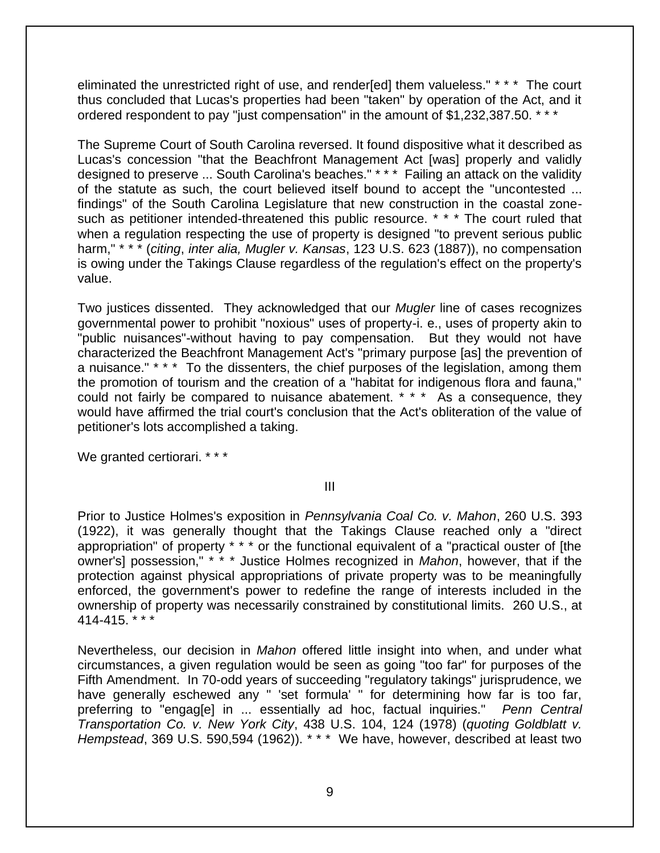eliminated the unrestricted right of use, and render[ed] them valueless." \* \* \* The court thus concluded that Lucas's properties had been "taken" by operation of the Act, and it ordered respondent to pay "just compensation" in the amount of \$1,232,387.50. \* \* \*

The Supreme Court of South Carolina reversed. It found dispositive what it described as Lucas's concession "that the Beachfront Management Act [was] properly and validly designed to preserve ... South Carolina's beaches." \* \* \* Failing an attack on the validity of the statute as such, the court believed itself bound to accept the "uncontested ... findings" of the South Carolina Legislature that new construction in the coastal zonesuch as petitioner intended-threatened this public resource. \* \* \* The court ruled that when a regulation respecting the use of property is designed "to prevent serious public harm," \* \* \* (*citing*, *inter alia, Mugler v. Kansas*, 123 U.S. 623 (1887)), no compensation is owing under the Takings Clause regardless of the regulation's effect on the property's value.

Two justices dissented. They acknowledged that our *Mugler* line of cases recognizes governmental power to prohibit "noxious" uses of property-i. e., uses of property akin to "public nuisances"-without having to pay compensation. But they would not have characterized the Beachfront Management Act's "primary purpose [as] the prevention of a nuisance." \* \* \* To the dissenters, the chief purposes of the legislation, among them the promotion of tourism and the creation of a "habitat for indigenous flora and fauna," could not fairly be compared to nuisance abatement. \* \* \* As a consequence, they would have affirmed the trial court's conclusion that the Act's obliteration of the value of petitioner's lots accomplished a taking.

We granted certiorari. \* \* \*

III

Prior to Justice Holmes's exposition in *Pennsylvania Coal Co. v. Mahon*, 260 U.S. 393 (1922), it was generally thought that the Takings Clause reached only a "direct appropriation" of property \* \* \* or the functional equivalent of a "practical ouster of [the owner's] possession," \* \* \* Justice Holmes recognized in *Mahon*, however, that if the protection against physical appropriations of private property was to be meaningfully enforced, the government's power to redefine the range of interests included in the ownership of property was necessarily constrained by constitutional limits. 260 U.S., at 414-415. \* \* \*

Nevertheless, our decision in *Mahon* offered little insight into when, and under what circumstances, a given regulation would be seen as going "too far" for purposes of the Fifth Amendment. In 70-odd years of succeeding "regulatory takings" jurisprudence, we have generally eschewed any " 'set formula' " for determining how far is too far, preferring to "engag[e] in ... essentially ad hoc, factual inquiries." *Penn Central Transportation Co. v. New York City*, 438 U.S. 104, 124 (1978) (*quoting Goldblatt v. Hempstead*, 369 U.S. 590,594 (1962)). \* \* \* We have, however, described at least two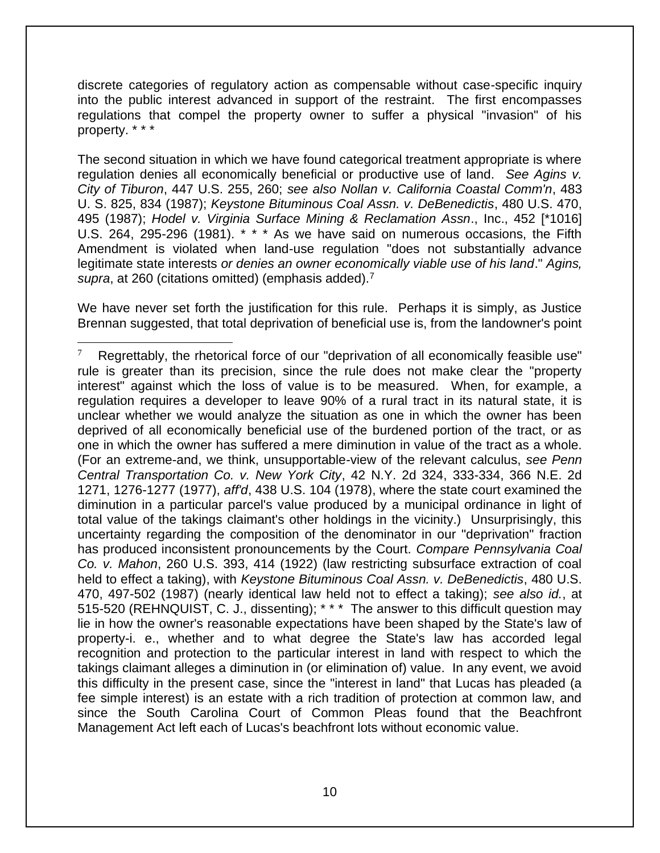discrete categories of regulatory action as compensable without case-specific inquiry into the public interest advanced in support of the restraint. The first encompasses regulations that compel the property owner to suffer a physical "invasion" of his property. \* \* \*

The second situation in which we have found categorical treatment appropriate is where regulation denies all economically beneficial or productive use of land. *See Agins v. City of Tiburon*, 447 U.S. 255, 260; *see also Nollan v. California Coastal Comm'n*, 483 U. S. 825, 834 (1987); *Keystone Bituminous Coal Assn. v. DeBenedictis*, 480 U.S. 470, 495 (1987); *Hodel v. Virginia Surface Mining & Reclamation Assn*., Inc., 452 [\*1016] U.S. 264, 295-296 (1981). \* \* \* As we have said on numerous occasions, the Fifth Amendment is violated when land-use regulation "does not substantially advance legitimate state interests *or denies an owner economically viable use of his land*." *Agins, supra*, at 260 (citations omitted) (emphasis added).<sup>7</sup>

We have never set forth the justification for this rule. Perhaps it is simply, as Justice Brennan suggested, that total deprivation of beneficial use is, from the landowner's point

<sup>7</sup> Regrettably, the rhetorical force of our "deprivation of all economically feasible use" rule is greater than its precision, since the rule does not make clear the "property interest" against which the loss of value is to be measured. When, for example, a regulation requires a developer to leave 90% of a rural tract in its natural state, it is unclear whether we would analyze the situation as one in which the owner has been deprived of all economically beneficial use of the burdened portion of the tract, or as one in which the owner has suffered a mere diminution in value of the tract as a whole. (For an extreme-and, we think, unsupportable-view of the relevant calculus, *see Penn Central Transportation Co. v. New York City*, 42 N.Y. 2d 324, 333-334, 366 N.E. 2d 1271, 1276-1277 (1977), *aff'd*, 438 U.S. 104 (1978), where the state court examined the diminution in a particular parcel's value produced by a municipal ordinance in light of total value of the takings claimant's other holdings in the vicinity.) Unsurprisingly, this uncertainty regarding the composition of the denominator in our "deprivation" fraction has produced inconsistent pronouncements by the Court. *Compare Pennsylvania Coal Co. v. Mahon*, 260 U.S. 393, 414 (1922) (law restricting subsurface extraction of coal held to effect a taking), with *Keystone Bituminous Coal Assn. v. DeBenedictis*, 480 U.S. 470, 497-502 (1987) (nearly identical law held not to effect a taking); *see also id.*, at 515-520 (REHNQUIST, C. J., dissenting); \* \* \* The answer to this difficult question may lie in how the owner's reasonable expectations have been shaped by the State's law of property-i. e., whether and to what degree the State's law has accorded legal recognition and protection to the particular interest in land with respect to which the takings claimant alleges a diminution in (or elimination of) value. In any event, we avoid this difficulty in the present case, since the "interest in land" that Lucas has pleaded (a fee simple interest) is an estate with a rich tradition of protection at common law, and since the South Carolina Court of Common Pleas found that the Beachfront Management Act left each of Lucas's beachfront lots without economic value.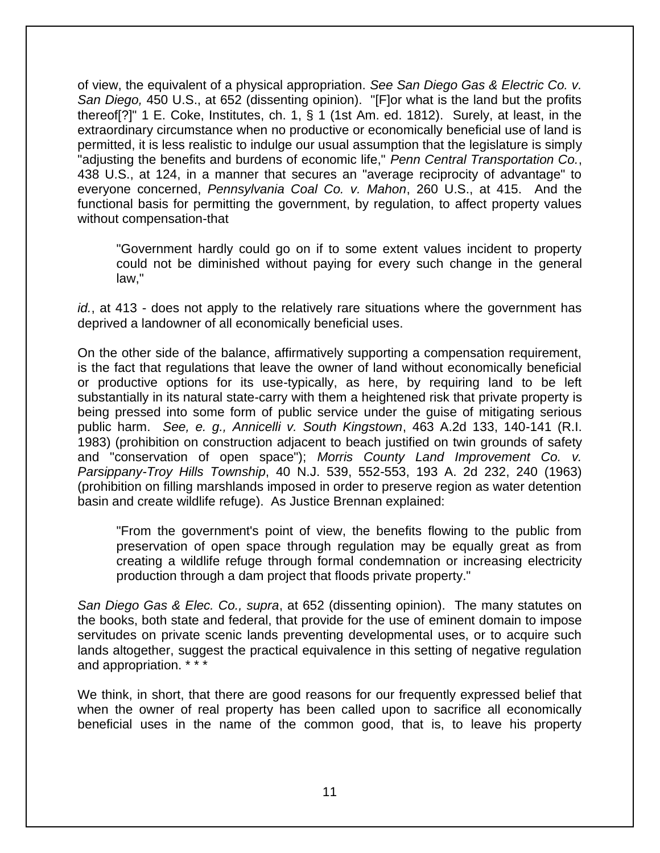of view, the equivalent of a physical appropriation. *See San Diego Gas & Electric Co. v. San Diego,* 450 U.S., at 652 (dissenting opinion). "[F]or what is the land but the profits thereof[?]" 1 E. Coke, Institutes, ch. 1, § 1 (1st Am. ed. 1812). Surely, at least, in the extraordinary circumstance when no productive or economically beneficial use of land is permitted, it is less realistic to indulge our usual assumption that the legislature is simply "adjusting the benefits and burdens of economic life," *Penn Central Transportation Co.*, 438 U.S., at 124, in a manner that secures an "average reciprocity of advantage" to everyone concerned, *Pennsylvania Coal Co. v. Mahon*, 260 U.S., at 415. And the functional basis for permitting the government, by regulation, to affect property values without compensation-that

"Government hardly could go on if to some extent values incident to property could not be diminished without paying for every such change in the general law,"

*id.*, at 413 - does not apply to the relatively rare situations where the government has deprived a landowner of all economically beneficial uses.

On the other side of the balance, affirmatively supporting a compensation requirement, is the fact that regulations that leave the owner of land without economically beneficial or productive options for its use-typically, as here, by requiring land to be left substantially in its natural state-carry with them a heightened risk that private property is being pressed into some form of public service under the guise of mitigating serious public harm. *See, e. g., Annicelli v. South Kingstown*, 463 A.2d 133, 140-141 (R.I. 1983) (prohibition on construction adjacent to beach justified on twin grounds of safety and "conservation of open space"); *Morris County Land Improvement Co. v. Parsippany-Troy Hills Township*, 40 N.J. 539, 552-553, 193 A. 2d 232, 240 (1963) (prohibition on filling marshlands imposed in order to preserve region as water detention basin and create wildlife refuge). As Justice Brennan explained:

"From the government's point of view, the benefits flowing to the public from preservation of open space through regulation may be equally great as from creating a wildlife refuge through formal condemnation or increasing electricity production through a dam project that floods private property."

*San Diego Gas & Elec. Co., supra*, at 652 (dissenting opinion). The many statutes on the books, both state and federal, that provide for the use of eminent domain to impose servitudes on private scenic lands preventing developmental uses, or to acquire such lands altogether, suggest the practical equivalence in this setting of negative regulation and appropriation. \* \* \*

We think, in short, that there are good reasons for our frequently expressed belief that when the owner of real property has been called upon to sacrifice all economically beneficial uses in the name of the common good, that is, to leave his property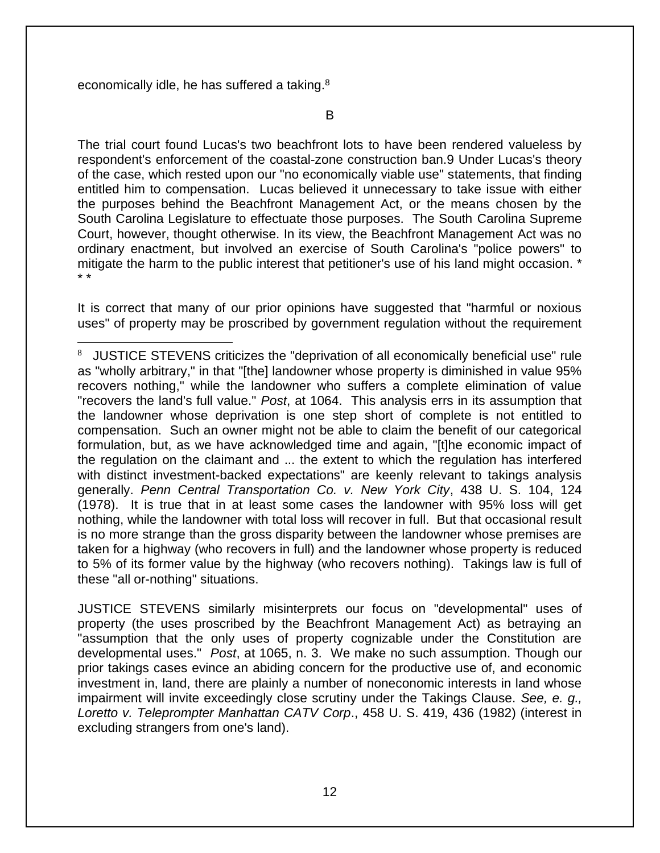economically idle, he has suffered a taking.<sup>8</sup>

B

The trial court found Lucas's two beachfront lots to have been rendered valueless by respondent's enforcement of the coastal-zone construction ban.9 Under Lucas's theory of the case, which rested upon our "no economically viable use" statements, that finding entitled him to compensation. Lucas believed it unnecessary to take issue with either the purposes behind the Beachfront Management Act, or the means chosen by the South Carolina Legislature to effectuate those purposes. The South Carolina Supreme Court, however, thought otherwise. In its view, the Beachfront Management Act was no ordinary enactment, but involved an exercise of South Carolina's "police powers" to mitigate the harm to the public interest that petitioner's use of his land might occasion. \* \* \*

It is correct that many of our prior opinions have suggested that "harmful or noxious uses" of property may be proscribed by government regulation without the requirement

JUSTICE STEVENS similarly misinterprets our focus on "developmental" uses of property (the uses proscribed by the Beachfront Management Act) as betraying an "assumption that the only uses of property cognizable under the Constitution are developmental uses." *Post*, at 1065, n. 3. We make no such assumption. Though our prior takings cases evince an abiding concern for the productive use of, and economic investment in, land, there are plainly a number of noneconomic interests in land whose impairment will invite exceedingly close scrutiny under the Takings Clause. *See, e. g., Loretto v. Teleprompter Manhattan CATV Corp*., 458 U. S. 419, 436 (1982) (interest in excluding strangers from one's land).

 $8$  JUSTICE STEVENS criticizes the "deprivation of all economically beneficial use" rule as "wholly arbitrary," in that "[the] landowner whose property is diminished in value 95% recovers nothing," while the landowner who suffers a complete elimination of value "recovers the land's full value." *Post*, at 1064. This analysis errs in its assumption that the landowner whose deprivation is one step short of complete is not entitled to compensation. Such an owner might not be able to claim the benefit of our categorical formulation, but, as we have acknowledged time and again, "[t]he economic impact of the regulation on the claimant and ... the extent to which the regulation has interfered with distinct investment-backed expectations" are keenly relevant to takings analysis generally. *Penn Central Transportation Co. v. New York City*, 438 U. S. 104, 124 (1978). It is true that in at least some cases the landowner with 95% loss will get nothing, while the landowner with total loss will recover in full. But that occasional result is no more strange than the gross disparity between the landowner whose premises are taken for a highway (who recovers in full) and the landowner whose property is reduced to 5% of its former value by the highway (who recovers nothing). Takings law is full of these "all or-nothing" situations.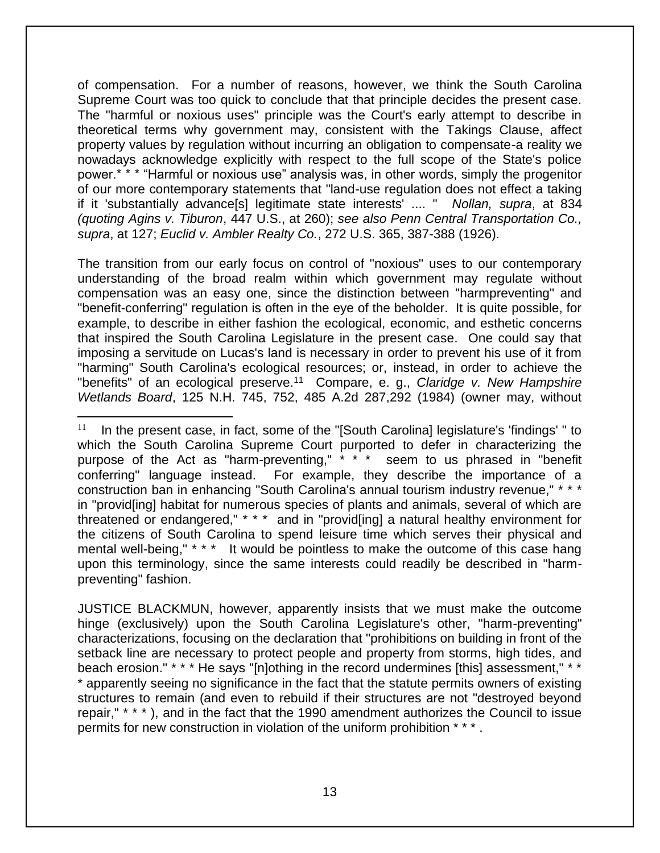of compensation. For a number of reasons, however, we think the South Carolina Supreme Court was too quick to conclude that that principle decides the present case. The "harmful or noxious uses" principle was the Court's early attempt to describe in theoretical terms why government may, consistent with the Takings Clause, affect property values by regulation without incurring an obligation to compensate-a reality we nowadays acknowledge explicitly with respect to the full scope of the State's police power.\* \* \* "Harmful or noxious use" analysis was, in other words, simply the progenitor of our more contemporary statements that "land-use regulation does not effect a taking if it 'substantially advance[s] legitimate state interests' .... " *Nollan, supra*, at 834 *(quoting Agins v. Tiburon*, 447 U.S., at 260); *see also Penn Central Transportation Co., supra*, at 127; *Euclid v. Ambler Realty Co.*, 272 U.S. 365, 387-388 (1926).

The transition from our early focus on control of "noxious" uses to our contemporary understanding of the broad realm within which government may regulate without compensation was an easy one, since the distinction between "harmpreventing" and "benefit-conferring" regulation is often in the eye of the beholder. It is quite possible, for example, to describe in either fashion the ecological, economic, and esthetic concerns that inspired the South Carolina Legislature in the present case. One could say that imposing a servitude on Lucas's land is necessary in order to prevent his use of it from "harming" South Carolina's ecological resources; or, instead, in order to achieve the "benefits" of an ecological preserve.<sup>11</sup> Compare, e. g., *Claridge v. New Hampshire Wetlands Board*, 125 N.H. 745, 752, 485 A.2d 287,292 (1984) (owner may, without

JUSTICE BLACKMUN, however, apparently insists that we must make the outcome hinge (exclusively) upon the South Carolina Legislature's other, "harm-preventing" characterizations, focusing on the declaration that "prohibitions on building in front of the setback line are necessary to protect people and property from storms, high tides, and beach erosion." \* \* \* He says "[n]othing in the record undermines [this] assessment," \* \* \* apparently seeing no significance in the fact that the statute permits owners of existing structures to remain (and even to rebuild if their structures are not "destroyed beyond repair," \* \* \* ), and in the fact that the 1990 amendment authorizes the Council to issue permits for new construction in violation of the uniform prohibition \* \* \* .

<sup>11</sup> In the present case, in fact, some of the "[South Carolina] legislature's 'findings' " to which the South Carolina Supreme Court purported to defer in characterizing the purpose of the Act as "harm-preventing," \* \* \* seem to us phrased in "benefit conferring" language instead. For example, they describe the importance of a construction ban in enhancing "South Carolina's annual tourism industry revenue," \* \* \* in "provid[ing] habitat for numerous species of plants and animals, several of which are threatened or endangered," \* \* \* and in "provid[ing] a natural healthy environment for the citizens of South Carolina to spend leisure time which serves their physical and mental well-being," \* \* \* It would be pointless to make the outcome of this case hang upon this terminology, since the same interests could readily be described in "harmpreventing" fashion.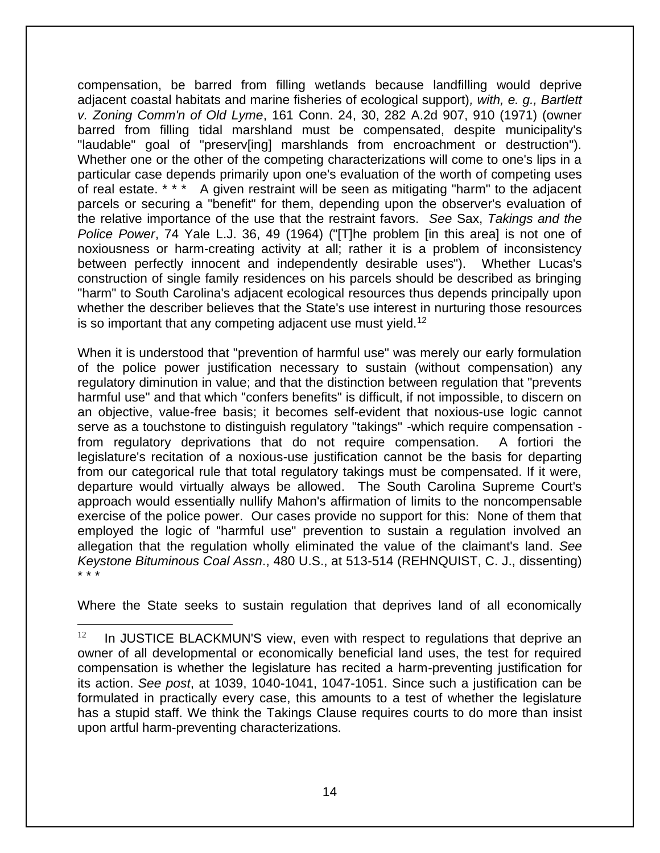compensation, be barred from filling wetlands because landfilling would deprive adjacent coastal habitats and marine fisheries of ecological support)*, with, e. g., Bartlett v. Zoning Comm'n of Old Lyme*, 161 Conn. 24, 30, 282 A.2d 907, 910 (1971) (owner barred from filling tidal marshland must be compensated, despite municipality's "laudable" goal of "preserv[ing] marshlands from encroachment or destruction"). Whether one or the other of the competing characterizations will come to one's lips in a particular case depends primarily upon one's evaluation of the worth of competing uses of real estate. \* \* \* A given restraint will be seen as mitigating "harm" to the adjacent parcels or securing a "benefit" for them, depending upon the observer's evaluation of the relative importance of the use that the restraint favors. *See* Sax, *Takings and the Police Power*, 74 Yale L.J. 36, 49 (1964) ("[T]he problem [in this area] is not one of noxiousness or harm-creating activity at all; rather it is a problem of inconsistency between perfectly innocent and independently desirable uses"). Whether Lucas's construction of single family residences on his parcels should be described as bringing "harm" to South Carolina's adjacent ecological resources thus depends principally upon whether the describer believes that the State's use interest in nurturing those resources is so important that any competing adjacent use must yield.<sup>12</sup>

When it is understood that "prevention of harmful use" was merely our early formulation of the police power justification necessary to sustain (without compensation) any regulatory diminution in value; and that the distinction between regulation that "prevents harmful use" and that which "confers benefits" is difficult, if not impossible, to discern on an objective, value-free basis; it becomes self-evident that noxious-use logic cannot serve as a touchstone to distinguish regulatory "takings" -which require compensation from regulatory deprivations that do not require compensation. A fortiori the legislature's recitation of a noxious-use justification cannot be the basis for departing from our categorical rule that total regulatory takings must be compensated. If it were, departure would virtually always be allowed. The South Carolina Supreme Court's approach would essentially nullify Mahon's affirmation of limits to the noncompensable exercise of the police power. Our cases provide no support for this: None of them that employed the logic of "harmful use" prevention to sustain a regulation involved an allegation that the regulation wholly eliminated the value of the claimant's land. *See Keystone Bituminous Coal Assn*., 480 U.S., at 513-514 (REHNQUIST, C. J., dissenting) \* \* \*

Where the State seeks to sustain regulation that deprives land of all economically

<sup>12</sup> In JUSTICE BLACKMUN'S view, even with respect to regulations that deprive an owner of all developmental or economically beneficial land uses, the test for required compensation is whether the legislature has recited a harm-preventing justification for its action. *See post*, at 1039, 1040-1041, 1047-1051. Since such a justification can be formulated in practically every case, this amounts to a test of whether the legislature has a stupid staff. We think the Takings Clause requires courts to do more than insist upon artful harm-preventing characterizations.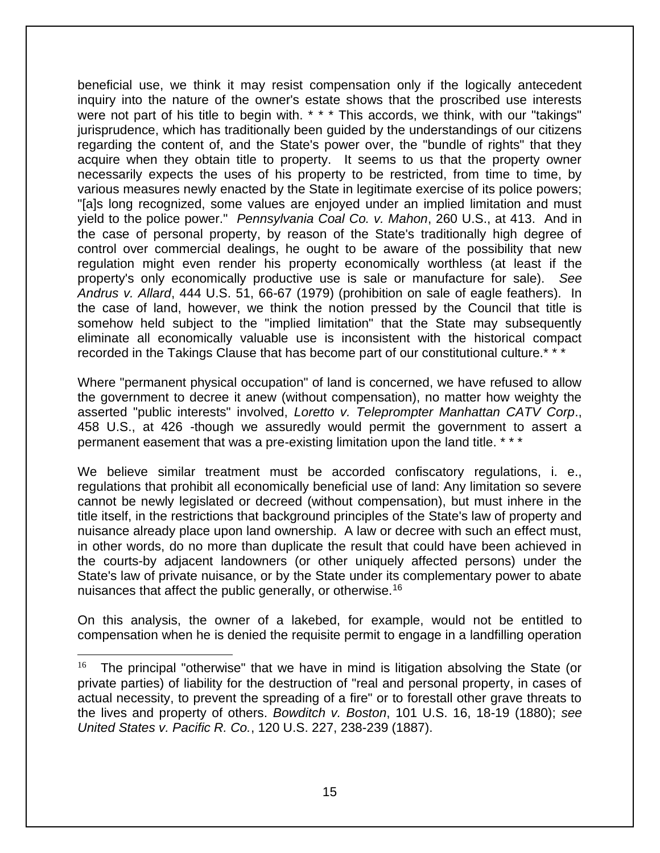beneficial use, we think it may resist compensation only if the logically antecedent inquiry into the nature of the owner's estate shows that the proscribed use interests were not part of his title to begin with. \* \* \* This accords, we think, with our "takings" jurisprudence, which has traditionally been guided by the understandings of our citizens regarding the content of, and the State's power over, the "bundle of rights" that they acquire when they obtain title to property. It seems to us that the property owner necessarily expects the uses of his property to be restricted, from time to time, by various measures newly enacted by the State in legitimate exercise of its police powers; "[a]s long recognized, some values are enjoyed under an implied limitation and must yield to the police power." *Pennsylvania Coal Co. v. Mahon*, 260 U.S., at 413. And in the case of personal property, by reason of the State's traditionally high degree of control over commercial dealings, he ought to be aware of the possibility that new regulation might even render his property economically worthless (at least if the property's only economically productive use is sale or manufacture for sale). *See Andrus v. Allard*, 444 U.S. 51, 66-67 (1979) (prohibition on sale of eagle feathers). In the case of land, however, we think the notion pressed by the Council that title is somehow held subject to the "implied limitation" that the State may subsequently eliminate all economically valuable use is inconsistent with the historical compact recorded in the Takings Clause that has become part of our constitutional culture.\*\*\*

Where "permanent physical occupation" of land is concerned, we have refused to allow the government to decree it anew (without compensation), no matter how weighty the asserted "public interests" involved, *Loretto v. Teleprompter Manhattan CATV Corp*., 458 U.S., at 426 -though we assuredly would permit the government to assert a permanent easement that was a pre-existing limitation upon the land title. \* \* \*

We believe similar treatment must be accorded confiscatory regulations, i. e., regulations that prohibit all economically beneficial use of land: Any limitation so severe cannot be newly legislated or decreed (without compensation), but must inhere in the title itself, in the restrictions that background principles of the State's law of property and nuisance already place upon land ownership. A law or decree with such an effect must, in other words, do no more than duplicate the result that could have been achieved in the courts-by adjacent landowners (or other uniquely affected persons) under the State's law of private nuisance, or by the State under its complementary power to abate nuisances that affect the public generally, or otherwise.<sup>16</sup>

On this analysis, the owner of a lakebed, for example, would not be entitled to compensation when he is denied the requisite permit to engage in a landfilling operation

<sup>16</sup> The principal "otherwise" that we have in mind is litigation absolving the State (or private parties) of liability for the destruction of "real and personal property, in cases of actual necessity, to prevent the spreading of a fire" or to forestall other grave threats to the lives and property of others. *Bowditch v. Boston*, 101 U.S. 16, 18-19 (1880); *see United States v. Pacific R. Co.*, 120 U.S. 227, 238-239 (1887).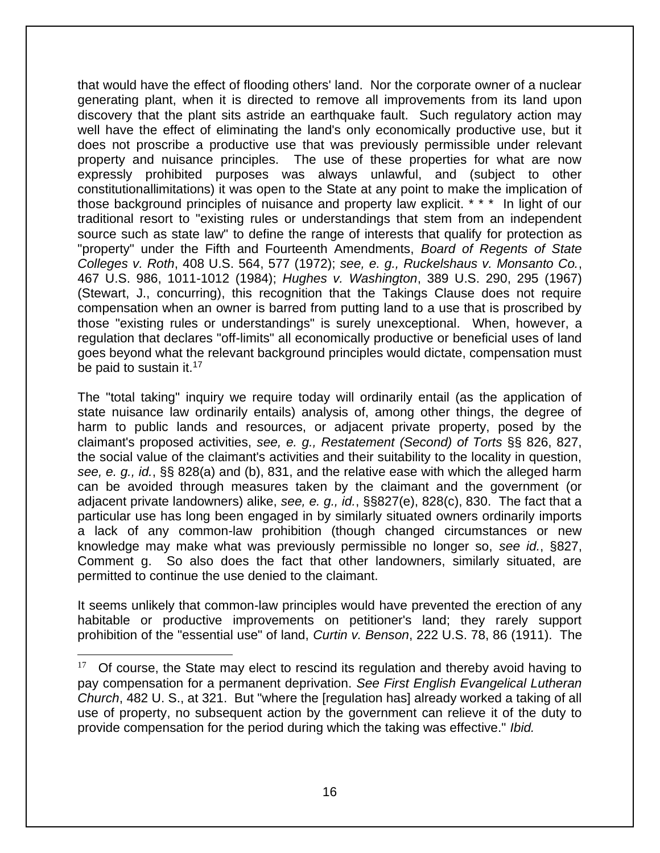that would have the effect of flooding others' land. Nor the corporate owner of a nuclear generating plant, when it is directed to remove all improvements from its land upon discovery that the plant sits astride an earthquake fault. Such regulatory action may well have the effect of eliminating the land's only economically productive use, but it does not proscribe a productive use that was previously permissible under relevant property and nuisance principles. The use of these properties for what are now expressly prohibited purposes was always unlawful, and (subject to other constitutionallimitations) it was open to the State at any point to make the implication of those background principles of nuisance and property law explicit. \* \* \* In light of our traditional resort to "existing rules or understandings that stem from an independent source such as state law" to define the range of interests that qualify for protection as "property" under the Fifth and Fourteenth Amendments, *Board of Regents of State Colleges v. Roth*, 408 U.S. 564, 577 (1972); *see, e. g., Ruckelshaus v. Monsanto Co.*, 467 U.S. 986, 1011-1012 (1984); *Hughes v. Washington*, 389 U.S. 290, 295 (1967) (Stewart, J., concurring), this recognition that the Takings Clause does not require compensation when an owner is barred from putting land to a use that is proscribed by those "existing rules or understandings" is surely unexceptional. When, however, a regulation that declares "off-limits" all economically productive or beneficial uses of land goes beyond what the relevant background principles would dictate, compensation must be paid to sustain it.<sup>17</sup>

The "total taking" inquiry we require today will ordinarily entail (as the application of state nuisance law ordinarily entails) analysis of, among other things, the degree of harm to public lands and resources, or adjacent private property, posed by the claimant's proposed activities, *see, e. g., Restatement (Second) of Torts* §§ 826, 827, the social value of the claimant's activities and their suitability to the locality in question, *see, e. g., id.*, §§ 828(a) and (b), 831, and the relative ease with which the alleged harm can be avoided through measures taken by the claimant and the government (or adjacent private landowners) alike, *see, e. g., id.*, §§827(e), 828(c), 830. The fact that a particular use has long been engaged in by similarly situated owners ordinarily imports a lack of any common-law prohibition (though changed circumstances or new knowledge may make what was previously permissible no longer so, *see id.*, §827, Comment g. So also does the fact that other landowners, similarly situated, are permitted to continue the use denied to the claimant.

It seems unlikely that common-law principles would have prevented the erection of any habitable or productive improvements on petitioner's land; they rarely support prohibition of the "essential use" of land, *Curtin v. Benson*, 222 U.S. 78, 86 (1911). The

<sup>17</sup> Of course, the State may elect to rescind its regulation and thereby avoid having to pay compensation for a permanent deprivation. *See First English Evangelical Lutheran Church*, 482 U. S., at 321. But "where the [regulation has] already worked a taking of all use of property, no subsequent action by the government can relieve it of the duty to provide compensation for the period during which the taking was effective." *Ibid.*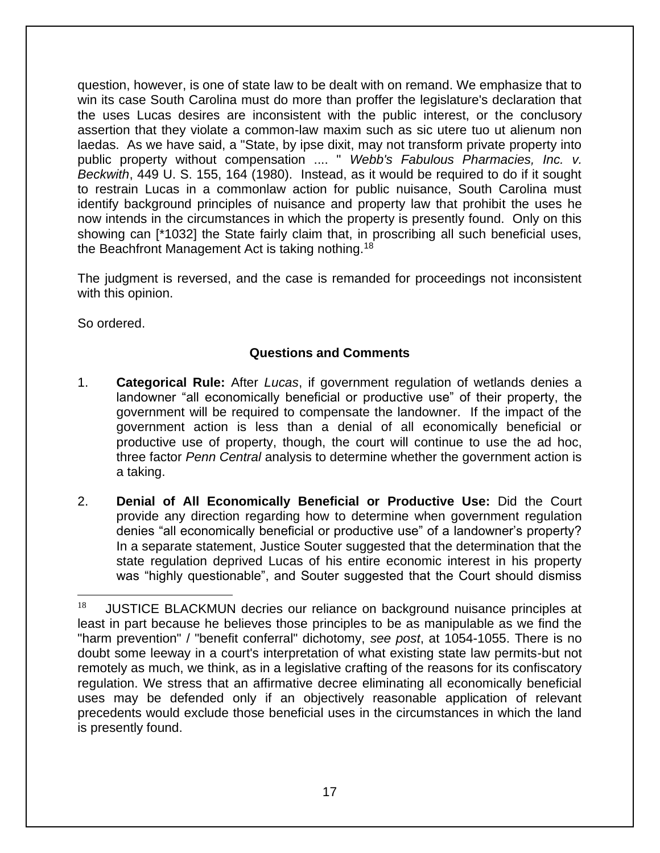question, however, is one of state law to be dealt with on remand. We emphasize that to win its case South Carolina must do more than proffer the legislature's declaration that the uses Lucas desires are inconsistent with the public interest, or the conclusory assertion that they violate a common-law maxim such as sic utere tuo ut alienum non laedas. As we have said, a "State, by ipse dixit, may not transform private property into public property without compensation .... " *Webb's Fabulous Pharmacies, Inc. v. Beckwith*, 449 U. S. 155, 164 (1980). Instead, as it would be required to do if it sought to restrain Lucas in a commonlaw action for public nuisance, South Carolina must identify background principles of nuisance and property law that prohibit the uses he now intends in the circumstances in which the property is presently found. Only on this showing can [\*1032] the State fairly claim that, in proscribing all such beneficial uses, the Beachfront Management Act is taking nothing.<sup>18</sup>

The judgment is reversed, and the case is remanded for proceedings not inconsistent with this opinion.

So ordered.

# **Questions and Comments**

- 1. **Categorical Rule:** After *Lucas*, if government regulation of wetlands denies a landowner "all economically beneficial or productive use" of their property, the government will be required to compensate the landowner. If the impact of the government action is less than a denial of all economically beneficial or productive use of property, though, the court will continue to use the ad hoc, three factor *Penn Central* analysis to determine whether the government action is a taking.
- 2. **Denial of All Economically Beneficial or Productive Use:** Did the Court provide any direction regarding how to determine when government regulation denies "all economically beneficial or productive use" of a landowner's property? In a separate statement, Justice Souter suggested that the determination that the state regulation deprived Lucas of his entire economic interest in his property was "highly questionable", and Souter suggested that the Court should dismiss

<sup>18</sup> JUSTICE BLACKMUN decries our reliance on background nuisance principles at least in part because he believes those principles to be as manipulable as we find the "harm prevention" / "benefit conferral" dichotomy, *see post*, at 1054-1055. There is no doubt some leeway in a court's interpretation of what existing state law permits-but not remotely as much, we think, as in a legislative crafting of the reasons for its confiscatory regulation. We stress that an affirmative decree eliminating all economically beneficial uses may be defended only if an objectively reasonable application of relevant precedents would exclude those beneficial uses in the circumstances in which the land is presently found.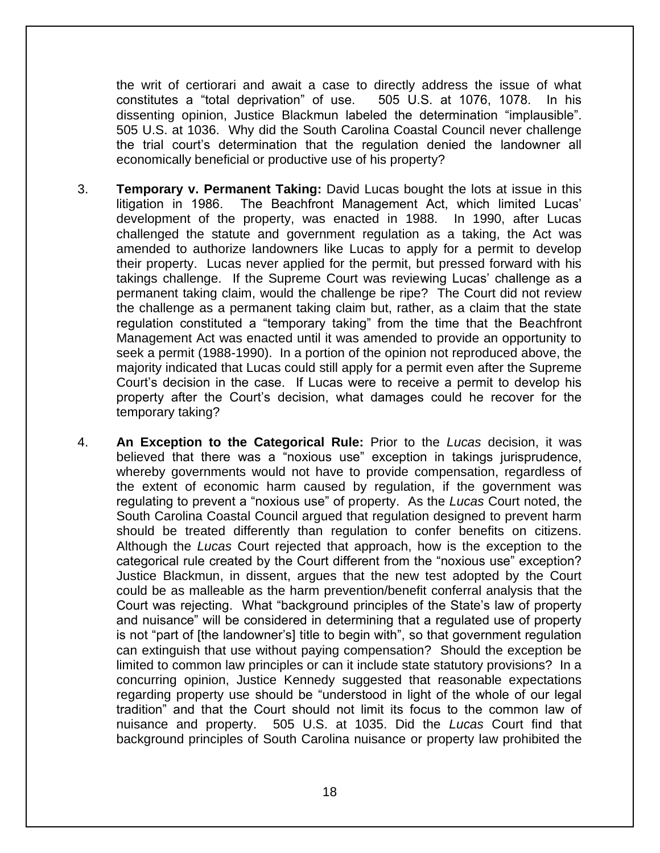the writ of certiorari and await a case to directly address the issue of what constitutes a "total deprivation" of use. 505 U.S. at 1076, 1078. In his dissenting opinion, Justice Blackmun labeled the determination "implausible". 505 U.S. at 1036. Why did the South Carolina Coastal Council never challenge the trial court's determination that the regulation denied the landowner all economically beneficial or productive use of his property?

- 3. **Temporary v. Permanent Taking:** David Lucas bought the lots at issue in this litigation in 1986. The Beachfront Management Act, which limited Lucas' development of the property, was enacted in 1988. In 1990, after Lucas challenged the statute and government regulation as a taking, the Act was amended to authorize landowners like Lucas to apply for a permit to develop their property. Lucas never applied for the permit, but pressed forward with his takings challenge. If the Supreme Court was reviewing Lucas' challenge as a permanent taking claim, would the challenge be ripe? The Court did not review the challenge as a permanent taking claim but, rather, as a claim that the state regulation constituted a "temporary taking" from the time that the Beachfront Management Act was enacted until it was amended to provide an opportunity to seek a permit (1988-1990). In a portion of the opinion not reproduced above, the majority indicated that Lucas could still apply for a permit even after the Supreme Court's decision in the case. If Lucas were to receive a permit to develop his property after the Court's decision, what damages could he recover for the temporary taking?
- 4. **An Exception to the Categorical Rule:** Prior to the *Lucas* decision, it was believed that there was a "noxious use" exception in takings jurisprudence, whereby governments would not have to provide compensation, regardless of the extent of economic harm caused by regulation, if the government was regulating to prevent a "noxious use" of property. As the *Lucas* Court noted, the South Carolina Coastal Council argued that regulation designed to prevent harm should be treated differently than regulation to confer benefits on citizens. Although the *Lucas* Court rejected that approach, how is the exception to the categorical rule created by the Court different from the "noxious use" exception? Justice Blackmun, in dissent, argues that the new test adopted by the Court could be as malleable as the harm prevention/benefit conferral analysis that the Court was rejecting. What "background principles of the State's law of property and nuisance" will be considered in determining that a regulated use of property is not "part of [the landowner's] title to begin with", so that government regulation can extinguish that use without paying compensation? Should the exception be limited to common law principles or can it include state statutory provisions? In a concurring opinion, Justice Kennedy suggested that reasonable expectations regarding property use should be "understood in light of the whole of our legal tradition" and that the Court should not limit its focus to the common law of nuisance and property. 505 U.S. at 1035. Did the *Lucas* Court find that background principles of South Carolina nuisance or property law prohibited the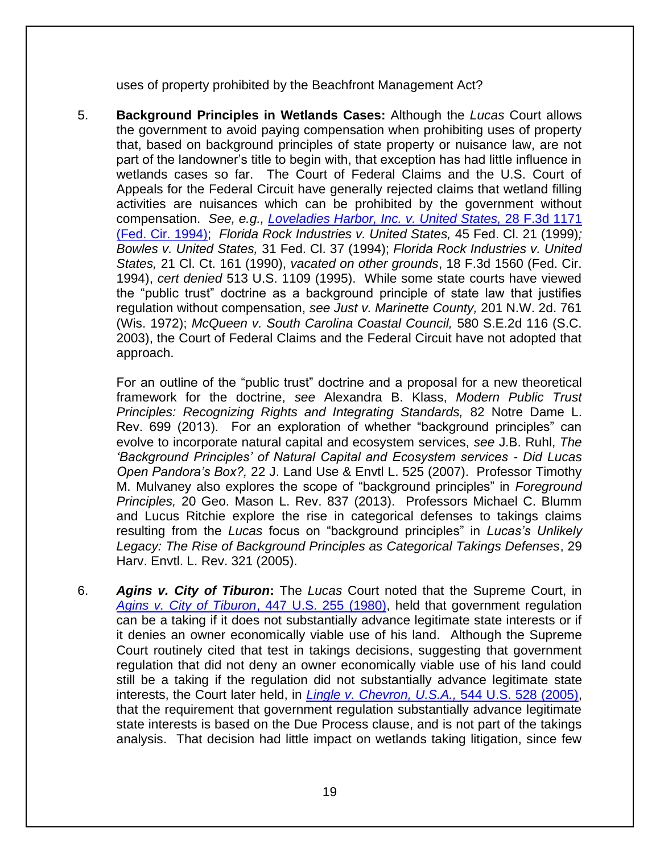uses of property prohibited by the Beachfront Management Act?

5. **Background Principles in Wetlands Cases:** Although the *Lucas* Court allows the government to avoid paying compensation when prohibiting uses of property that, based on background principles of state property or nuisance law, are not part of the landowner's title to begin with, that exception has had little influence in wetlands cases so far. The Court of Federal Claims and the U.S. Court of Appeals for the Federal Circuit have generally rejected claims that wetland filling activities are nuisances which can be prohibited by the government without compensation. *See, e.g., [Loveladies Harbor, Inc. v. United States,](http://law.justia.com/cases/federal/appellate-courts/F3/28/1171/581131/)* 28 F.3d 1171 [\(Fed. Cir. 1994\);](http://law.justia.com/cases/federal/appellate-courts/F3/28/1171/581131/) *Florida Rock Industries v. United States,* 45 Fed. Cl. 21 (1999)*; Bowles v. United States,* 31 Fed. Cl. 37 (1994); *Florida Rock Industries v. United States,* 21 Cl. Ct. 161 (1990), *vacated on other grounds*, 18 F.3d 1560 (Fed. Cir. 1994), *cert denied* 513 U.S. 1109 (1995). While some state courts have viewed the "public trust" doctrine as a background principle of state law that justifies regulation without compensation, *see Just v. Marinette County,* 201 N.W. 2d. 761 (Wis. 1972); *McQueen v. South Carolina Coastal Council,* 580 S.E.2d 116 (S.C. 2003), the Court of Federal Claims and the Federal Circuit have not adopted that approach.

For an outline of the "public trust" doctrine and a proposal for a new theoretical framework for the doctrine, *see* Alexandra B. Klass, *Modern Public Trust Principles: Recognizing Rights and Integrating Standards,* 82 Notre Dame L. Rev. 699 (2013). For an exploration of whether "background principles" can evolve to incorporate natural capital and ecosystem services, *see* J.B. Ruhl, *The 'Background Principles' of Natural Capital and Ecosystem services - Did Lucas Open Pandora's Box?,* 22 J. Land Use & Envtl L. 525 (2007). Professor Timothy M. Mulvaney also explores the scope of "background principles" in *Foreground Principles,* 20 Geo. Mason L. Rev. 837 (2013). Professors Michael C. Blumm and Lucus Ritchie explore the rise in categorical defenses to takings claims resulting from the *Lucas* focus on "background principles" in *Lucas's Unlikely Legacy: The Rise of Background Principles as Categorical Takings Defenses*, 29 Harv. Envtl. L. Rev. 321 (2005).

6. *Agins v. City of Tiburon***:** The *Lucas* Court noted that the Supreme Court, i[n](https://supreme.justia.com/cases/federal/us/447/255/case.html) *[Agins v. City of Tiburon](https://supreme.justia.com/cases/federal/us/447/255/case.html)*, 447 U.S. 255 (1980), held that government regulation can be a taking if it does not substantially advance legitimate state interests or if it denies an owner economically viable use of his land. Although the Supreme Court routinely cited that test in takings decisions, suggesting that government regulation that did not deny an owner economically viable use of his land could still be a taking if the regulation did not substantially advance legitimate state interests, the Court later held, in *[Lingle v. Chevron, U.S.A.,](http://www.law.cornell.edu/supct/html/04-163.ZS.html)* 544 U.S. 528 (2005), that the requirement that government regulation substantially advance legitimate state interests is based on the Due Process clause, and is not part of the takings analysis. That decision had little impact on wetlands taking litigation, since few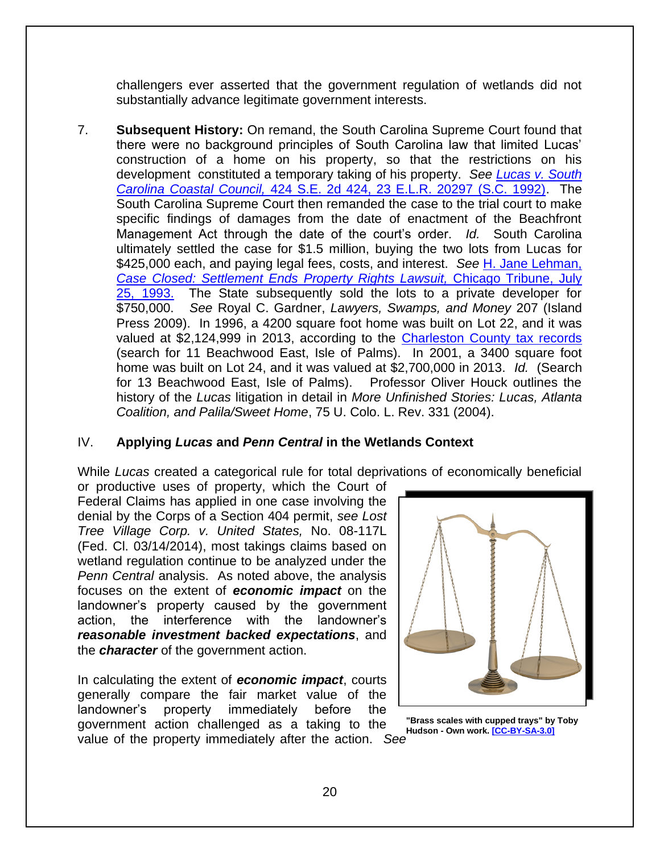challengers ever asserted that the government regulation of wetlands did not substantially advance legitimate government interests.

7. **Subsequent History:** On remand, the South Carolina Supreme Court found that there were no background principles of South Carolina law that limited Lucas' construction of a home on his property, so that the restrictions on his development constituted a temporary taking of his property. *See [Lucas v. South](http://web.law.duke.edu/voices/lucas)  Carolina Coastal Council,* [424 S.E. 2d 424, 23 E.L.R. 20297 \(S.C. 1992\).](http://web.law.duke.edu/voices/lucas) The South Carolina Supreme Court then remanded the case to the trial court to make specific findings of damages from the date of enactment of the Beachfront Management Act through the date of the court's order. *Id.* South Carolina ultimately settled the case for \$1.5 million, buying the two lots from Lucas for \$425,000 each, and paying legal fees, costs, and interest. *See* [H. Jane Lehman,](http://articles.chicagotribune.com/1993-07-25/business/9307250304_1_david-h-lucas-south-carolina-coastal-council-supreme-court)  *[Case Closed: Settlement Ends Property Rights Lawsuit,](http://articles.chicagotribune.com/1993-07-25/business/9307250304_1_david-h-lucas-south-carolina-coastal-council-supreme-court)* Chicago Tribune, July [25, 1993.](http://articles.chicagotribune.com/1993-07-25/business/9307250304_1_david-h-lucas-south-carolina-coastal-council-supreme-court) The State subsequently sold the lots to a private developer for \$750,000. *See* Royal C. Gardner, *Lawyers, Swamps, and Money* 207 (Island Press 2009). In 1996, a 4200 square foot home was built on Lot 22, and it was valued at \$2,124,999 in 2013, according to the [Charleston County tax records](http://sc-charleston-county.governmax.com/svc/default.asp?sid=2DD70B13E4AC406C8FD0B4A7FF33D185) (search for 11 Beachwood East, Isle of Palms). In 2001, a 3400 square foot home was built on Lot 24, and it was valued at \$2,700,000 in 2013. *Id.* (Search for 13 Beachwood East, Isle of Palms). Professor Oliver Houck outlines the history of the *Lucas* litigation in detail in *More Unfinished Stories: Lucas, Atlanta Coalition, and Palila/Sweet Home*, 75 U. Colo. L. Rev. 331 (2004).

# IV. **Applying** *Lucas* **and** *Penn Central* **in the Wetlands Context**

While *Lucas* created a categorical rule for total deprivations of economically beneficial

or productive uses of property, which the Court of Federal Claims has applied in one case involving the denial by the Corps of a Section 404 permit, *see Lost Tree Village Corp. v. United States,* No. 08-117L (Fed. Cl. 03/14/2014), most takings claims based on wetland regulation continue to be analyzed under the *Penn Central* analysis. As noted above, the analysis focuses on the extent of *economic impact* on the landowner's property caused by the government action, the interference with the landowner's *reasonable investment backed expectations*, and the *character* of the government action.

In calculating the extent of *economic impact*, courts generally compare the fair market value of the landowner's property immediately before the government action challenged as a taking to the



value of the property immediately after the action. *See*  **"Brass scales with cupped trays" by Toby Hudson - Own work[. \[CC-BY-SA-3.0\]](http://commons.wikimedia.org/wiki/Category:Unbalanced_scales_of_justice#mediaviewer/File:Brass_scales_with_cupped_trays.png)**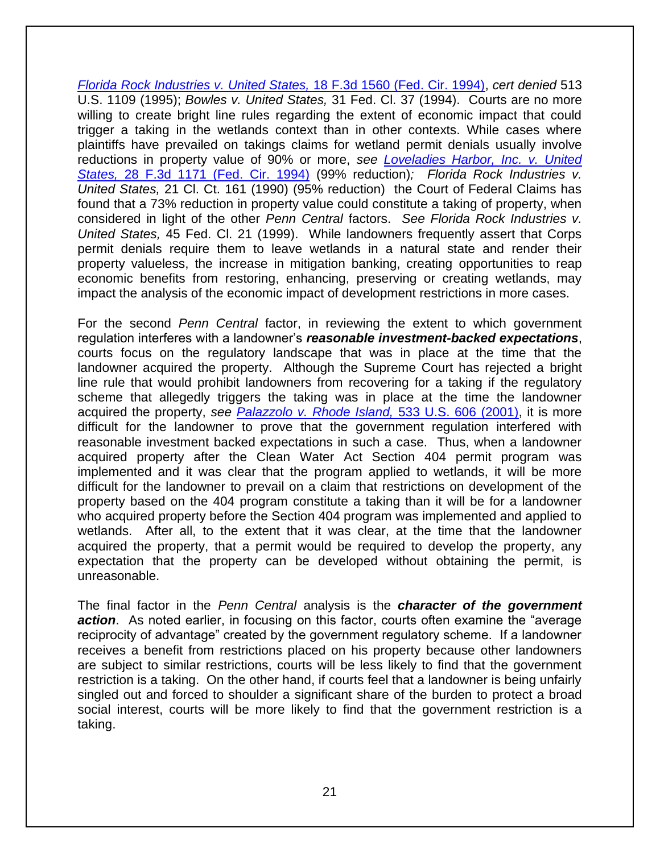*[Florida Rock Industries v. United States,](http://law.justia.com/cases/federal/appellate-courts/F3/18/1560/531120/)* 18 F.3d 1560 (Fed. Cir. 1994), *cert denied* 513 U.S. 1109 (1995); *Bowles v. United States,* 31 Fed. Cl. 37 (1994). Courts are no more willing to create bright line rules regarding the extent of economic impact that could trigger a taking in the wetlands context than in other contexts. While cases where plaintiffs have prevailed on takings claims for wetland permit denials usually involve reductions in property value of 90% or more, *see [Loveladies Harbor, Inc. v. United](http://law.justia.com/cases/federal/appellate-courts/F3/28/1171/581131/)  States,* [28 F.3d 1171 \(Fed. Cir. 1994\)](http://law.justia.com/cases/federal/appellate-courts/F3/28/1171/581131/) (99% reduction)*; Florida Rock Industries v. United States,* 21 Cl. Ct. 161 (1990) (95% reduction) the Court of Federal Claims has found that a 73% reduction in property value could constitute a taking of property, when considered in light of the other *Penn Central* factors. *See Florida Rock Industries v. United States,* 45 Fed. Cl. 21 (1999). While landowners frequently assert that Corps permit denials require them to leave wetlands in a natural state and render their property valueless, the increase in mitigation banking, creating opportunities to reap economic benefits from restoring, enhancing, preserving or creating wetlands, may impact the analysis of the economic impact of development restrictions in more cases.

For the second *Penn Central* factor, in reviewing the extent to which government regulation interferes with a landowner's *reasonable investment-backed expectations*, courts focus on the regulatory landscape that was in place at the time that the landowner acquired the property. Although the Supreme Court has rejected a bright line rule that would prohibit landowners from recovering for a taking if the regulatory scheme that allegedly triggers the taking was in place at the time the landowner acquired the property, *see [Palazzolo v. Rhode Island,](http://supreme.justia.com/cases/federal/us/533/606/case.html)* 533 U.S. 606 (2001), it is more difficult for the landowner to prove that the government regulation interfered with reasonable investment backed expectations in such a case. Thus, when a landowner acquired property after the Clean Water Act Section 404 permit program was implemented and it was clear that the program applied to wetlands, it will be more difficult for the landowner to prevail on a claim that restrictions on development of the property based on the 404 program constitute a taking than it will be for a landowner who acquired property before the Section 404 program was implemented and applied to wetlands. After all, to the extent that it was clear, at the time that the landowner acquired the property, that a permit would be required to develop the property, any expectation that the property can be developed without obtaining the permit, is unreasonable.

The final factor in the *Penn Central* analysis is the *character of the government action*. As noted earlier, in focusing on this factor, courts often examine the "average reciprocity of advantage" created by the government regulatory scheme. If a landowner receives a benefit from restrictions placed on his property because other landowners are subject to similar restrictions, courts will be less likely to find that the government restriction is a taking. On the other hand, if courts feel that a landowner is being unfairly singled out and forced to shoulder a significant share of the burden to protect a broad social interest, courts will be more likely to find that the government restriction is a taking.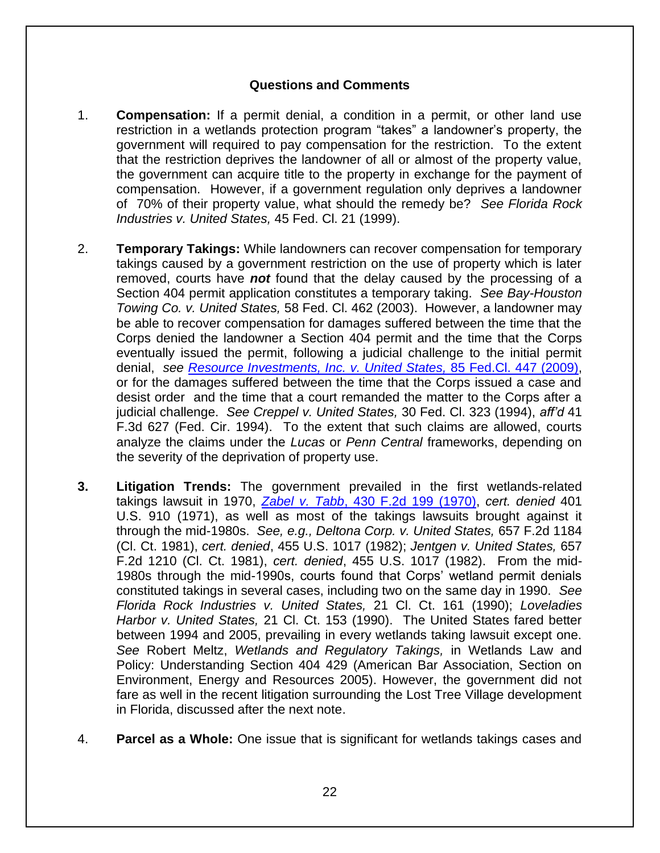## **Questions and Comments**

- 1. **Compensation:** If a permit denial, a condition in a permit, or other land use restriction in a wetlands protection program "takes" a landowner's property, the government will required to pay compensation for the restriction. To the extent that the restriction deprives the landowner of all or almost of the property value, the government can acquire title to the property in exchange for the payment of compensation. However, if a government regulation only deprives a landowner of 70% of their property value, what should the remedy be? *See Florida Rock Industries v. United States,* 45 Fed. Cl. 21 (1999).
- 2. **Temporary Takings:** While landowners can recover compensation for temporary takings caused by a government restriction on the use of property which is later removed, courts have *not* found that the delay caused by the processing of a Section 404 permit application constitutes a temporary taking. *See Bay-Houston Towing Co. v. United States,* 58 Fed. Cl. 462 (2003). However, a landowner may be able to recover compensation for damages suffered between the time that the Corps denied the landowner a Section 404 permit and the time that the Corps eventually issued the permit, following a judicial challenge to the initial permit denial, *see [Resource Investments, Inc. v. United States,](http://caselaw.lp.findlaw.com/data2/circs/fedclaim/2009/98419lp.pdf)* 85 Fed.Cl. 447 (2009), or for the damages suffered between the time that the Corps issued a case and desist order and the time that a court remanded the matter to the Corps after a judicial challenge. *See Creppel v. United States,* 30 Fed. Cl. 323 (1994), *aff'd* 41 F.3d 627 (Fed. Cir. 1994). To the extent that such claims are allowed, courts analyze the claims under the *Lucas* or *Penn Central* frameworks, depending on the severity of the deprivation of property use.
- **3. Litigation Trends:** The government prevailed in the first wetlands-related takings lawsuit in 1970, *Zabel v. Tabb*[, 430 F.2d 199 \(1970\),](https://scholar.google.com/scholar_case?case=5322608450585282912&hl=en&as_sdt=6&as_vis=1&oi=scholarr) *cert. denied* 401 U.S. 910 (1971), as well as most of the takings lawsuits brought against it through the mid-1980s. *See, e.g., Deltona Corp. v. United States,* 657 F.2d 1184 (Cl. Ct. 1981), *cert. denied*, 455 U.S. 1017 (1982); *Jentgen v. United States,* 657 F.2d 1210 (Cl. Ct. 1981), *cert. denied*, 455 U.S. 1017 (1982). From the mid-1980s through the mid-1990s, courts found that Corps' wetland permit denials constituted takings in several cases, including two on the same day in 1990. *See Florida Rock Industries v. United States,* 21 Cl. Ct. 161 (1990); *Loveladies Harbor v. United States,* 21 Cl. Ct. 153 (1990). The United States fared better between 1994 and 2005, prevailing in every wetlands taking lawsuit except one. *See* Robert Meltz, *Wetlands and Regulatory Takings,* in Wetlands Law and Policy: Understanding Section 404 429 (American Bar Association, Section on Environment, Energy and Resources 2005). However, the government did not fare as well in the recent litigation surrounding the Lost Tree Village development in Florida, discussed after the next note.
- 4. **Parcel as a Whole:** One issue that is significant for wetlands takings cases and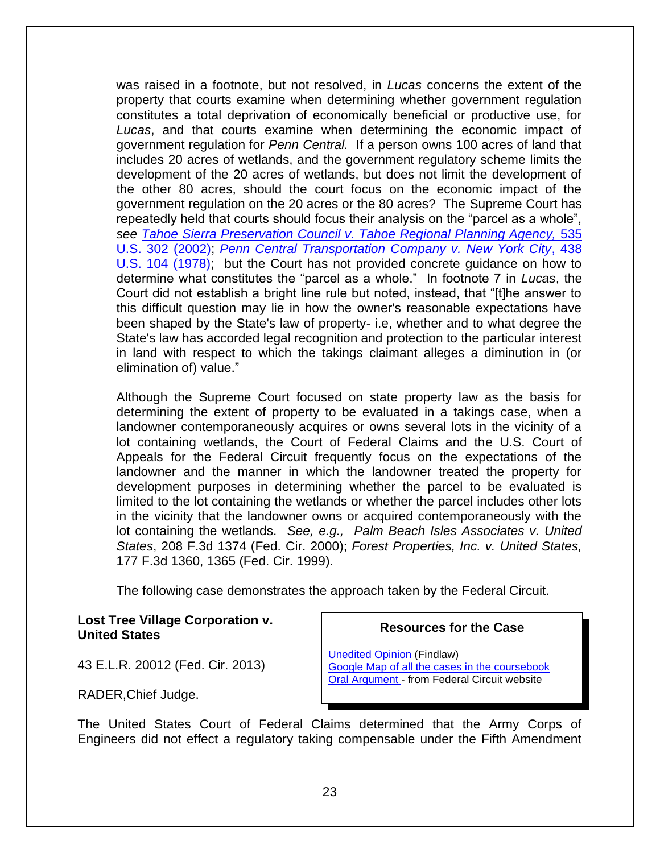was raised in a footnote, but not resolved, in *Lucas* concerns the extent of the property that courts examine when determining whether government regulation constitutes a total deprivation of economically beneficial or productive use, for *Lucas*, and that courts examine when determining the economic impact of government regulation for *Penn Central.* If a person owns 100 acres of land that includes 20 acres of wetlands, and the government regulatory scheme limits the development of the 20 acres of wetlands, but does not limit the development of the other 80 acres, should the court focus on the economic impact of the government regulation on the 20 acres or the 80 acres? The Supreme Court has repeatedly held that courts should focus their analysis on the "parcel as a whole", *see [Tahoe Sierra Preservation Council v. Tahoe Regional Planning Agency,](http://www.law.cornell.edu/supct/html/00-1167.ZS.html)* 535 [U.S. 302 \(2002\);](http://www.law.cornell.edu/supct/html/00-1167.ZS.html) *[Penn Central Transportation Company v. New York City](http://supreme.justia.com/cases/federal/us/438/104/case.html)*, 438 [U.S. 104 \(1978\);](http://supreme.justia.com/cases/federal/us/438/104/case.html) but the Court has not provided concrete guidance on how to determine what constitutes the "parcel as a whole." In footnote 7 in *Lucas*, the Court did not establish a bright line rule but noted, instead, that "[t]he answer to this difficult question may lie in how the owner's reasonable expectations have been shaped by the State's law of property- i.e, whether and to what degree the State's law has accorded legal recognition and protection to the particular interest in land with respect to which the takings claimant alleges a diminution in (or elimination of) value."

Although the Supreme Court focused on state property law as the basis for determining the extent of property to be evaluated in a takings case, when a landowner contemporaneously acquires or owns several lots in the vicinity of a lot containing wetlands, the Court of Federal Claims and the U.S. Court of Appeals for the Federal Circuit frequently focus on the expectations of the landowner and the manner in which the landowner treated the property for development purposes in determining whether the parcel to be evaluated is limited to the lot containing the wetlands or whether the parcel includes other lots in the vicinity that the landowner owns or acquired contemporaneously with the lot containing the wetlands. *See, e.g., Palm Beach Isles Associates v. United States*, 208 F.3d 1374 (Fed. Cir. 2000); *Forest Properties, Inc. v. United States,*  177 F.3d 1360, 1365 (Fed. Cir. 1999).

The following case demonstrates the approach taken by the Federal Circuit.

#### **Lost Tree Village Corporation v. United States**

#### **Resources for the Case**

[Unedited Opinion](http://www.cafc.uscourts.gov/images/stories/opinions-orders/12-5008.pdf) (Findlaw) [Google Map of all the cases in the coursebook](https://mapsengine.google.com/map/viewer?mid=z7VLNS5X2EBs.k2lYjQFqDWiI)  **Oral Argument** - from Federal Circuit website

43 E.L.R. 20012 (Fed. Cir. 2013)

RADER,Chief Judge.

The United States Court of Federal Claims determined that the Army Corps of Engineers did not effect a regulatory taking compensable under the Fifth Amendment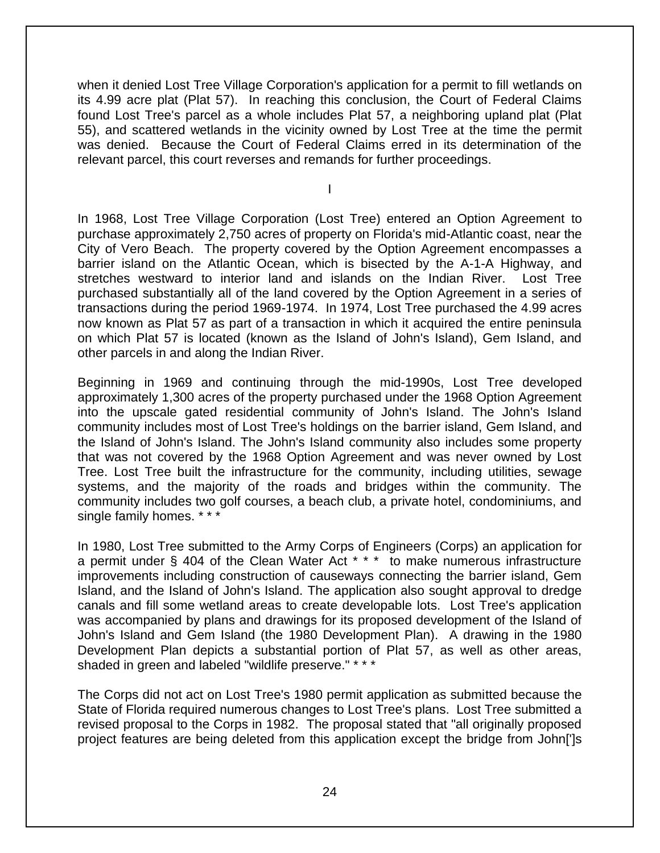when it denied Lost Tree Village Corporation's application for a permit to fill wetlands on its 4.99 acre plat (Plat 57). In reaching this conclusion, the Court of Federal Claims found Lost Tree's parcel as a whole includes Plat 57, a neighboring upland plat (Plat 55), and scattered wetlands in the vicinity owned by Lost Tree at the time the permit was denied. Because the Court of Federal Claims erred in its determination of the relevant parcel, this court reverses and remands for further proceedings.

I

In 1968, Lost Tree Village Corporation (Lost Tree) entered an Option Agreement to purchase approximately 2,750 acres of property on Florida's mid-Atlantic coast, near the City of Vero Beach. The property covered by the Option Agreement encompasses a barrier island on the Atlantic Ocean, which is bisected by the A-1-A Highway, and stretches westward to interior land and islands on the Indian River. Lost Tree purchased substantially all of the land covered by the Option Agreement in a series of transactions during the period 1969-1974. In 1974, Lost Tree purchased the 4.99 acres now known as Plat 57 as part of a transaction in which it acquired the entire peninsula on which Plat 57 is located (known as the Island of John's Island), Gem Island, and other parcels in and along the Indian River.

Beginning in 1969 and continuing through the mid-1990s, Lost Tree developed approximately 1,300 acres of the property purchased under the 1968 Option Agreement into the upscale gated residential community of John's Island. The John's Island community includes most of Lost Tree's holdings on the barrier island, Gem Island, and the Island of John's Island. The John's Island community also includes some property that was not covered by the 1968 Option Agreement and was never owned by Lost Tree. Lost Tree built the infrastructure for the community, including utilities, sewage systems, and the majority of the roads and bridges within the community. The community includes two golf courses, a beach club, a private hotel, condominiums, and single family homes. \* \* \*

In 1980, Lost Tree submitted to the Army Corps of Engineers (Corps) an application for a permit under § 404 of the Clean Water Act \* \* \* to make numerous infrastructure improvements including construction of causeways connecting the barrier island, Gem Island, and the Island of John's Island. The application also sought approval to dredge canals and fill some wetland areas to create developable lots. Lost Tree's application was accompanied by plans and drawings for its proposed development of the Island of John's Island and Gem Island (the 1980 Development Plan). A drawing in the 1980 Development Plan depicts a substantial portion of Plat 57, as well as other areas, shaded in green and labeled "wildlife preserve." \* \* \*

The Corps did not act on Lost Tree's 1980 permit application as submitted because the State of Florida required numerous changes to Lost Tree's plans. Lost Tree submitted a revised proposal to the Corps in 1982. The proposal stated that "all originally proposed project features are being deleted from this application except the bridge from John[']s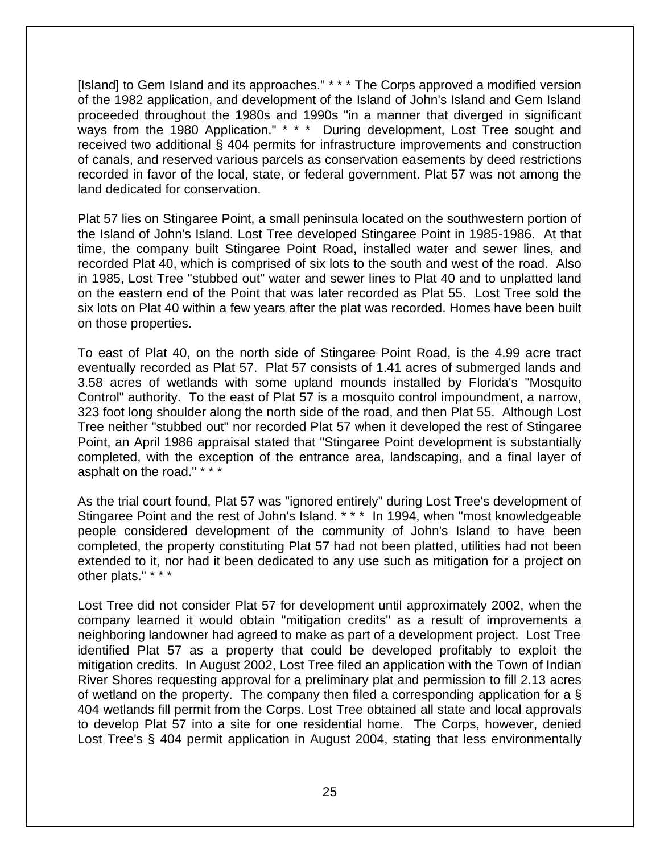[Island] to Gem Island and its approaches." \* \* \* The Corps approved a modified version of the 1982 application, and development of the Island of John's Island and Gem Island proceeded throughout the 1980s and 1990s "in a manner that diverged in significant ways from the 1980 Application." \* \* \* During development, Lost Tree sought and received two additional § 404 permits for infrastructure improvements and construction of canals, and reserved various parcels as conservation easements by deed restrictions recorded in favor of the local, state, or federal government. Plat 57 was not among the land dedicated for conservation.

Plat 57 lies on Stingaree Point, a small peninsula located on the southwestern portion of the Island of John's Island. Lost Tree developed Stingaree Point in 1985-1986. At that time, the company built Stingaree Point Road, installed water and sewer lines, and recorded Plat 40, which is comprised of six lots to the south and west of the road. Also in 1985, Lost Tree "stubbed out" water and sewer lines to Plat 40 and to unplatted land on the eastern end of the Point that was later recorded as Plat 55. Lost Tree sold the six lots on Plat 40 within a few years after the plat was recorded. Homes have been built on those properties.

To east of Plat 40, on the north side of Stingaree Point Road, is the 4.99 acre tract eventually recorded as Plat 57. Plat 57 consists of 1.41 acres of submerged lands and 3.58 acres of wetlands with some upland mounds installed by Florida's "Mosquito Control" authority. To the east of Plat 57 is a mosquito control impoundment, a narrow, 323 foot long shoulder along the north side of the road, and then Plat 55. Although Lost Tree neither "stubbed out" nor recorded Plat 57 when it developed the rest of Stingaree Point, an April 1986 appraisal stated that "Stingaree Point development is substantially completed, with the exception of the entrance area, landscaping, and a final layer of asphalt on the road." \* \* \*

As the trial court found, Plat 57 was "ignored entirely" during Lost Tree's development of Stingaree Point and the rest of John's Island. \* \* \* In 1994, when "most knowledgeable people considered development of the community of John's Island to have been completed, the property constituting Plat 57 had not been platted, utilities had not been extended to it, nor had it been dedicated to any use such as mitigation for a project on other plats." \* \* \*

Lost Tree did not consider Plat 57 for development until approximately 2002, when the company learned it would obtain "mitigation credits" as a result of improvements a neighboring landowner had agreed to make as part of a development project. Lost Tree identified Plat 57 as a property that could be developed profitably to exploit the mitigation credits. In August 2002, Lost Tree filed an application with the Town of Indian River Shores requesting approval for a preliminary plat and permission to fill 2.13 acres of wetland on the property. The company then filed a corresponding application for a § 404 wetlands fill permit from the Corps. Lost Tree obtained all state and local approvals to develop Plat 57 into a site for one residential home. The Corps, however, denied Lost Tree's § 404 permit application in August 2004, stating that less environmentally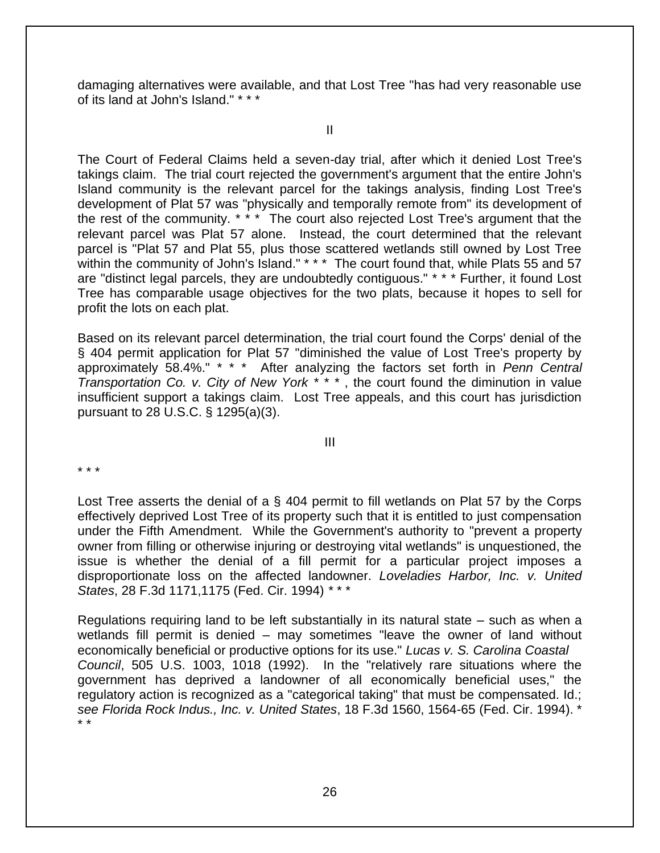damaging alternatives were available, and that Lost Tree "has had very reasonable use of its land at John's Island." \* \* \*

II

The Court of Federal Claims held a seven-day trial, after which it denied Lost Tree's takings claim. The trial court rejected the government's argument that the entire John's Island community is the relevant parcel for the takings analysis, finding Lost Tree's development of Plat 57 was "physically and temporally remote from" its development of the rest of the community. \* \* \* The court also rejected Lost Tree's argument that the relevant parcel was Plat 57 alone. Instead, the court determined that the relevant parcel is "Plat 57 and Plat 55, plus those scattered wetlands still owned by Lost Tree within the community of John's Island." \* \* \* The court found that, while Plats 55 and 57 are "distinct legal parcels, they are undoubtedly contiguous." \* \* \* Further, it found Lost Tree has comparable usage objectives for the two plats, because it hopes to sell for profit the lots on each plat.

Based on its relevant parcel determination, the trial court found the Corps' denial of the § 404 permit application for Plat 57 "diminished the value of Lost Tree's property by approximately 58.4%." \* \* \* After analyzing the factors set forth in *Penn Central Transportation Co. v. City of New York \* \* \** , the court found the diminution in value insufficient support a takings claim. Lost Tree appeals, and this court has jurisdiction pursuant to 28 U.S.C. § 1295(a)(3).

III

\* \* \*

Lost Tree asserts the denial of a § 404 permit to fill wetlands on Plat 57 by the Corps effectively deprived Lost Tree of its property such that it is entitled to just compensation under the Fifth Amendment. While the Government's authority to "prevent a property owner from filling or otherwise injuring or destroying vital wetlands" is unquestioned, the issue is whether the denial of a fill permit for a particular project imposes a disproportionate loss on the affected landowner. *Loveladies Harbor, Inc. v. United States*, 28 F.3d 1171,1175 (Fed. Cir. 1994) *\* \* \** 

Regulations requiring land to be left substantially in its natural state – such as when a wetlands fill permit is denied – may sometimes "leave the owner of land without economically beneficial or productive options for its use." *Lucas v. S. Carolina Coastal Council*, 505 U.S. 1003, 1018 (1992). In the "relatively rare situations where the government has deprived a landowner of all economically beneficial uses," the regulatory action is recognized as a "categorical taking" that must be compensated. Id.; *see Florida Rock Indus., Inc. v. United States*, 18 F.3d 1560, 1564-65 (Fed. Cir. 1994). \* \* \*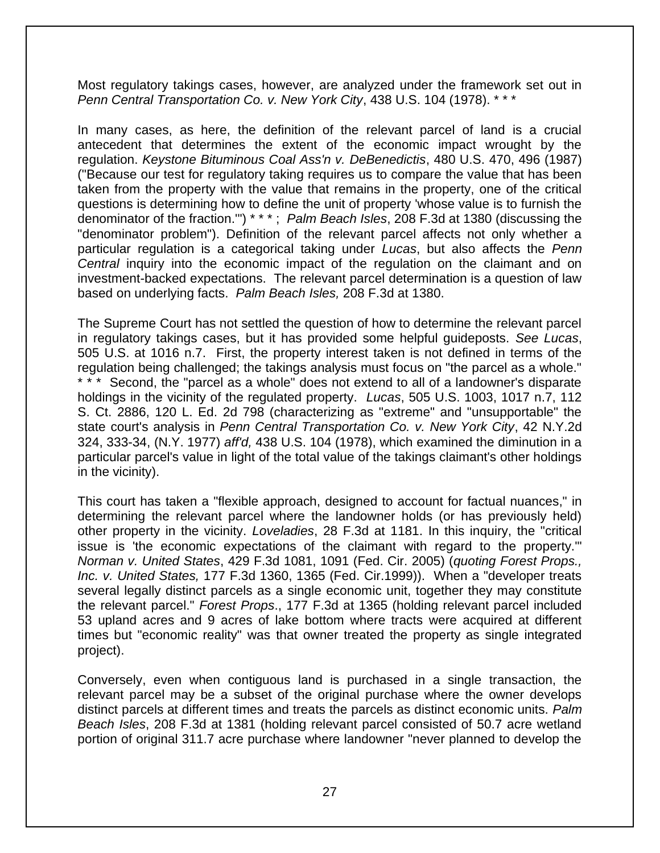Most regulatory takings cases, however, are analyzed under the framework set out in *Penn Central Transportation Co. v. New York City*, 438 U.S. 104 (1978). \* \* \*

In many cases, as here, the definition of the relevant parcel of land is a crucial antecedent that determines the extent of the economic impact wrought by the regulation. *Keystone Bituminous Coal Ass'n v. DeBenedictis*, 480 U.S. 470, 496 (1987) ("Because our test for regulatory taking requires us to compare the value that has been taken from the property with the value that remains in the property, one of the critical questions is determining how to define the unit of property 'whose value is to furnish the denominator of the fraction.'") \* \* \* ; *Palm Beach Isles*, 208 F.3d at 1380 (discussing the "denominator problem"). Definition of the relevant parcel affects not only whether a particular regulation is a categorical taking under *Lucas*, but also affects the *Penn Central* inquiry into the economic impact of the regulation on the claimant and on investment-backed expectations. The relevant parcel determination is a question of law based on underlying facts. *Palm Beach Isles,* 208 F.3d at 1380.

The Supreme Court has not settled the question of how to determine the relevant parcel in regulatory takings cases, but it has provided some helpful guideposts. *See Lucas*, 505 U.S. at 1016 n.7. First, the property interest taken is not defined in terms of the regulation being challenged; the takings analysis must focus on "the parcel as a whole." \*\*\* Second, the "parcel as a whole" does not extend to all of a landowner's disparate holdings in the vicinity of the regulated property. *Lucas*, 505 U.S. 1003, 1017 n.7, 112 S. Ct. 2886, 120 L. Ed. 2d 798 (characterizing as "extreme" and "unsupportable" the state court's analysis in *Penn Central Transportation Co. v. New York City*, 42 N.Y.2d 324, 333-34, (N.Y. 1977) *aff'd,* 438 U.S. 104 (1978), which examined the diminution in a particular parcel's value in light of the total value of the takings claimant's other holdings in the vicinity).

This court has taken a "flexible approach, designed to account for factual nuances," in determining the relevant parcel where the landowner holds (or has previously held) other property in the vicinity. *Loveladies*, 28 F.3d at 1181. In this inquiry, the "critical issue is 'the economic expectations of the claimant with regard to the property.'" *Norman v. United States*, 429 F.3d 1081, 1091 (Fed. Cir. 2005) (*quoting Forest Props., Inc. v. United States,* 177 F.3d 1360, 1365 (Fed. Cir.1999)). When a "developer treats several legally distinct parcels as a single economic unit, together they may constitute the relevant parcel." *Forest Props*., 177 F.3d at 1365 (holding relevant parcel included 53 upland acres and 9 acres of lake bottom where tracts were acquired at different times but "economic reality" was that owner treated the property as single integrated project).

Conversely, even when contiguous land is purchased in a single transaction, the relevant parcel may be a subset of the original purchase where the owner develops distinct parcels at different times and treats the parcels as distinct economic units. *Palm Beach Isles*, 208 F.3d at 1381 (holding relevant parcel consisted of 50.7 acre wetland portion of original 311.7 acre purchase where landowner "never planned to develop the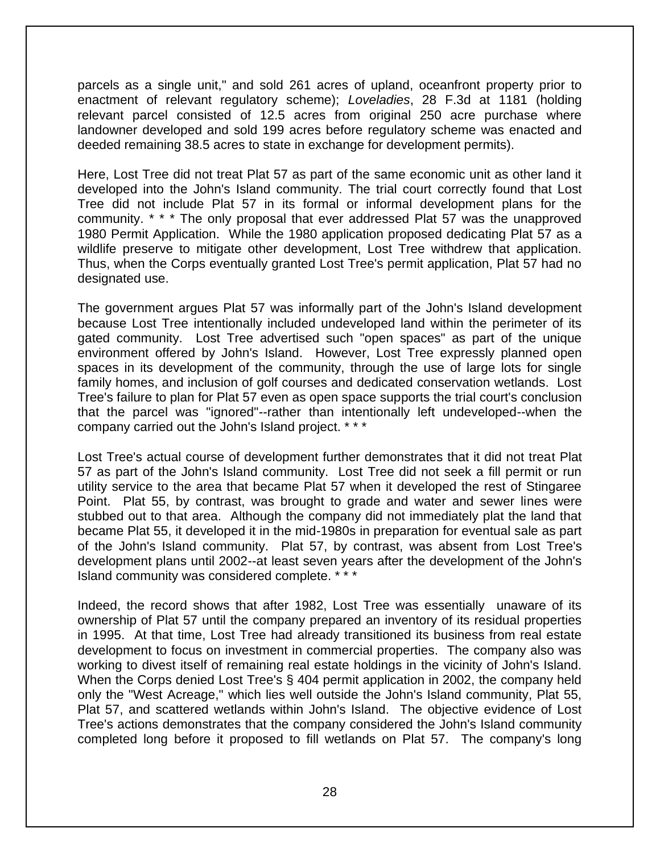parcels as a single unit," and sold 261 acres of upland, oceanfront property prior to enactment of relevant regulatory scheme); *Loveladies*, 28 F.3d at 1181 (holding relevant parcel consisted of 12.5 acres from original 250 acre purchase where landowner developed and sold 199 acres before regulatory scheme was enacted and deeded remaining 38.5 acres to state in exchange for development permits).

Here, Lost Tree did not treat Plat 57 as part of the same economic unit as other land it developed into the John's Island community. The trial court correctly found that Lost Tree did not include Plat 57 in its formal or informal development plans for the community. \* \* \* The only proposal that ever addressed Plat 57 was the unapproved 1980 Permit Application. While the 1980 application proposed dedicating Plat 57 as a wildlife preserve to mitigate other development, Lost Tree withdrew that application. Thus, when the Corps eventually granted Lost Tree's permit application, Plat 57 had no designated use.

The government argues Plat 57 was informally part of the John's Island development because Lost Tree intentionally included undeveloped land within the perimeter of its gated community. Lost Tree advertised such "open spaces" as part of the unique environment offered by John's Island. However, Lost Tree expressly planned open spaces in its development of the community, through the use of large lots for single family homes, and inclusion of golf courses and dedicated conservation wetlands. Lost Tree's failure to plan for Plat 57 even as open space supports the trial court's conclusion that the parcel was "ignored"--rather than intentionally left undeveloped--when the company carried out the John's Island project. \* \* \*

Lost Tree's actual course of development further demonstrates that it did not treat Plat 57 as part of the John's Island community. Lost Tree did not seek a fill permit or run utility service to the area that became Plat 57 when it developed the rest of Stingaree Point. Plat 55, by contrast, was brought to grade and water and sewer lines were stubbed out to that area. Although the company did not immediately plat the land that became Plat 55, it developed it in the mid-1980s in preparation for eventual sale as part of the John's Island community. Plat 57, by contrast, was absent from Lost Tree's development plans until 2002--at least seven years after the development of the John's Island community was considered complete. \* \* \*

Indeed, the record shows that after 1982, Lost Tree was essentially unaware of its ownership of Plat 57 until the company prepared an inventory of its residual properties in 1995. At that time, Lost Tree had already transitioned its business from real estate development to focus on investment in commercial properties. The company also was working to divest itself of remaining real estate holdings in the vicinity of John's Island. When the Corps denied Lost Tree's § 404 permit application in 2002, the company held only the "West Acreage," which lies well outside the John's Island community, Plat 55, Plat 57, and scattered wetlands within John's Island. The objective evidence of Lost Tree's actions demonstrates that the company considered the John's Island community completed long before it proposed to fill wetlands on Plat 57. The company's long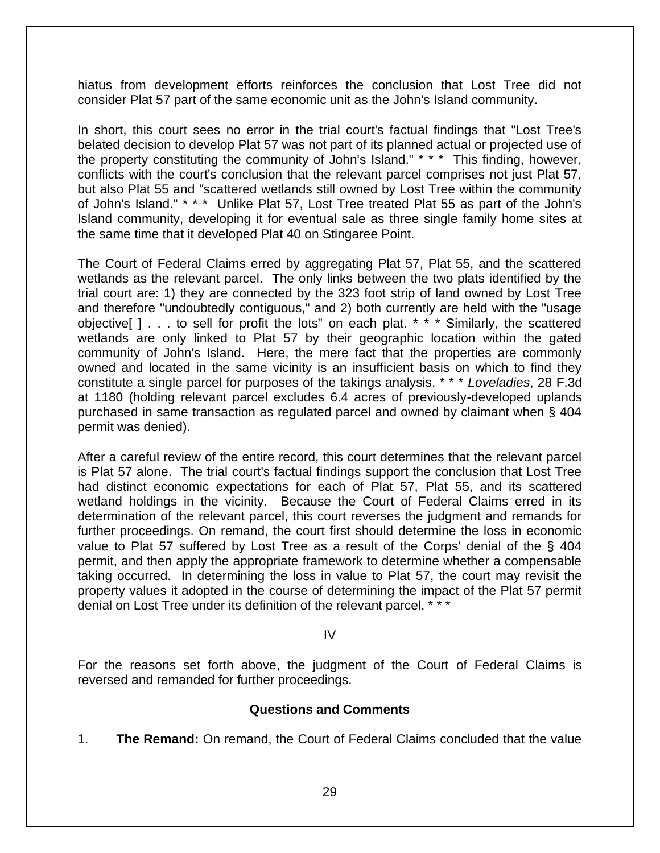hiatus from development efforts reinforces the conclusion that Lost Tree did not consider Plat 57 part of the same economic unit as the John's Island community.

In short, this court sees no error in the trial court's factual findings that "Lost Tree's belated decision to develop Plat 57 was not part of its planned actual or projected use of the property constituting the community of John's Island." \* \* \* This finding, however, conflicts with the court's conclusion that the relevant parcel comprises not just Plat 57, but also Plat 55 and "scattered wetlands still owned by Lost Tree within the community of John's Island." \* \* \* Unlike Plat 57, Lost Tree treated Plat 55 as part of the John's Island community, developing it for eventual sale as three single family home sites at the same time that it developed Plat 40 on Stingaree Point.

The Court of Federal Claims erred by aggregating Plat 57, Plat 55, and the scattered wetlands as the relevant parcel. The only links between the two plats identified by the trial court are: 1) they are connected by the 323 foot strip of land owned by Lost Tree and therefore "undoubtedly contiguous," and 2) both currently are held with the "usage objective[ ] . . . to sell for profit the lots" on each plat. \* \* \* Similarly, the scattered wetlands are only linked to Plat 57 by their geographic location within the gated community of John's Island. Here, the mere fact that the properties are commonly owned and located in the same vicinity is an insufficient basis on which to find they constitute a single parcel for purposes of the takings analysis. \* \* \* *Loveladies*, 28 F.3d at 1180 (holding relevant parcel excludes 6.4 acres of previously-developed uplands purchased in same transaction as regulated parcel and owned by claimant when § 404 permit was denied).

After a careful review of the entire record, this court determines that the relevant parcel is Plat 57 alone. The trial court's factual findings support the conclusion that Lost Tree had distinct economic expectations for each of Plat 57, Plat 55, and its scattered wetland holdings in the vicinity. Because the Court of Federal Claims erred in its determination of the relevant parcel, this court reverses the judgment and remands for further proceedings. On remand, the court first should determine the loss in economic value to Plat 57 suffered by Lost Tree as a result of the Corps' denial of the § 404 permit, and then apply the appropriate framework to determine whether a compensable taking occurred. In determining the loss in value to Plat 57, the court may revisit the property values it adopted in the course of determining the impact of the Plat 57 permit denial on Lost Tree under its definition of the relevant parcel. \* \* \*

IV

For the reasons set forth above, the judgment of the Court of Federal Claims is reversed and remanded for further proceedings.

#### **Questions and Comments**

1. **The Remand:** On remand, the Court of Federal Claims concluded that the value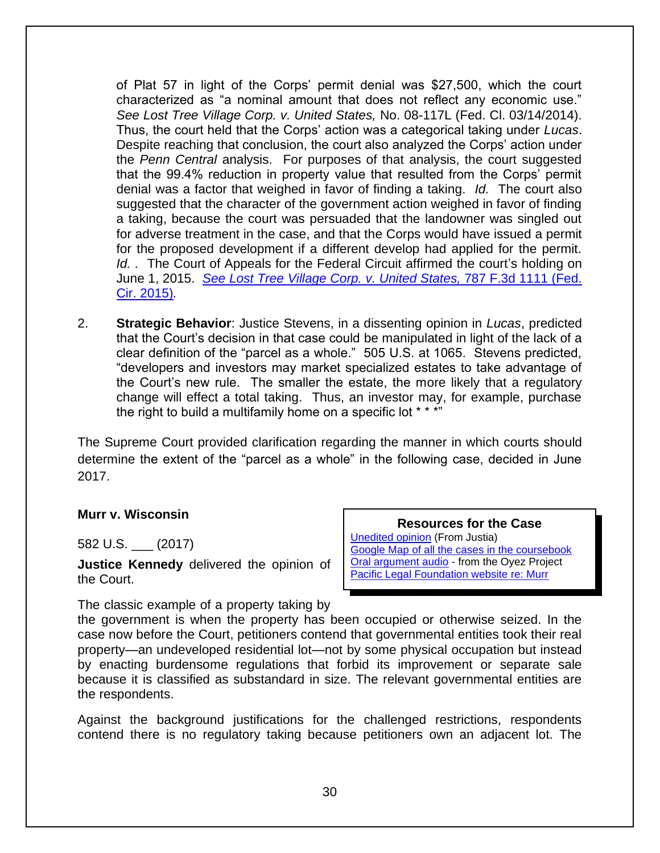of Plat 57 in light of the Corps' permit denial was \$27,500, which the court characterized as "a nominal amount that does not reflect any economic use." *See Lost Tree Village Corp. v. United States,* No. 08-117L (Fed. Cl. 03/14/2014). Thus, the court held that the Corps' action was a categorical taking under *Lucas*. Despite reaching that conclusion, the court also analyzed the Corps' action under the *Penn Central* analysis. For purposes of that analysis, the court suggested that the 99.4% reduction in property value that resulted from the Corps' permit denial was a factor that weighed in favor of finding a taking. *Id.* The court also suggested that the character of the government action weighed in favor of finding a taking, because the court was persuaded that the landowner was singled out for adverse treatment in the case, and that the Corps would have issued a permit for the proposed development if a different develop had applied for the permit. *Id. .* The Court of Appeals for the Federal Circuit affirmed the court's holding on June 1, 2015. *See Lost Tree [Village Corp. v. United States,](https://pacificlegal.org/wp-content/uploads/2015/06/LostTreeDecision.pdf)* 787 F.3d 1111 (Fed. [Cir. 2015\)](https://pacificlegal.org/wp-content/uploads/2015/06/LostTreeDecision.pdf)*.*

2. **Strategic Behavior**: Justice Stevens, in a dissenting opinion in *Lucas*, predicted that the Court's decision in that case could be manipulated in light of the lack of a clear definition of the "parcel as a whole." 505 U.S. at 1065. Stevens predicted, "developers and investors may market specialized estates to take advantage of the Court's new rule. The smaller the estate, the more likely that a regulatory change will effect a total taking. Thus, an investor may, for example, purchase the right to build a multifamily home on a specific lot \* \* \*"

The Supreme Court provided clarification regarding the manner in which courts should determine the extent of the "parcel as a whole" in the following case, decided in June 2017.

#### **Murr v. Wisconsin**

582 U.S. \_\_\_ (2017)

**Justice Kennedy** delivered the opinion of the Court.

The classic example of a property taking by

#### **Resources for the Case**

[Unedited opinion](https://supreme.justia.com/cases/federal/us/582/15-214/) (From Justia) [Google Map of all the cases in the coursebook](https://mapsengine.google.com/map/viewer?mid=z7VLNS5X2EBs.k2lYjQFqDWiI)  [Oral argument audio](https://www.oyez.org/cases/2016/15-214) - from the Oyez Project [Pacific Legal Foundation website re: Murr](https://pacificlegal.org/case/murr-v-wisconsin/)

the government is when the property has been occupied or otherwise seized. In the case now before the Court, petitioners contend that governmental entities took their real property—an undeveloped residential lot—not by some physical occupation but instead by enacting burdensome regulations that forbid its improvement or separate sale because it is classified as substandard in size. The relevant governmental entities are the respondents.

Against the background justifications for the challenged restrictions, respondents contend there is no regulatory taking because petitioners own an adjacent lot. The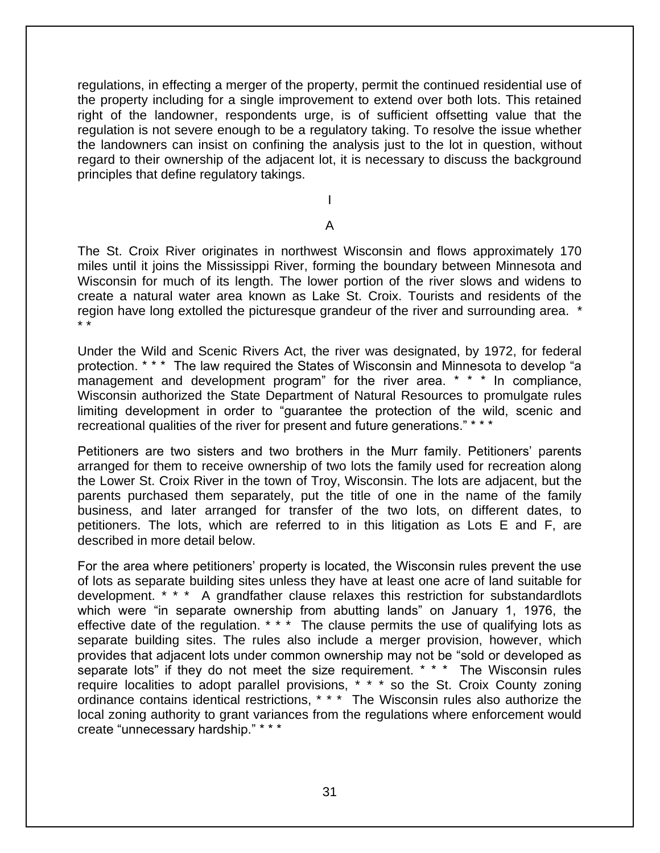regulations, in effecting a merger of the property, permit the continued residential use of the property including for a single improvement to extend over both lots. This retained right of the landowner, respondents urge, is of sufficient offsetting value that the regulation is not severe enough to be a regulatory taking. To resolve the issue whether the landowners can insist on confining the analysis just to the lot in question, without regard to their ownership of the adjacent lot, it is necessary to discuss the background principles that define regulatory takings.

# A

I

The St. Croix River originates in northwest Wisconsin and flows approximately 170 miles until it joins the Mississippi River, forming the boundary between Minnesota and Wisconsin for much of its length. The lower portion of the river slows and widens to create a natural water area known as Lake St. Croix. Tourists and residents of the region have long extolled the picturesque grandeur of the river and surrounding area. \* \* \*

Under the Wild and Scenic Rivers Act, the river was designated, by 1972, for federal protection. \* \* \* The law required the States of Wisconsin and Minnesota to develop "a management and development program" for the river area. \* \* \* In compliance, Wisconsin authorized the State Department of Natural Resources to promulgate rules limiting development in order to "guarantee the protection of the wild, scenic and recreational qualities of the river for present and future generations." \*\*\*

Petitioners are two sisters and two brothers in the Murr family. Petitioners' parents arranged for them to receive ownership of two lots the family used for recreation along the Lower St. Croix River in the town of Troy, Wisconsin. The lots are adjacent, but the parents purchased them separately, put the title of one in the name of the family business, and later arranged for transfer of the two lots, on different dates, to petitioners. The lots, which are referred to in this litigation as Lots E and F, are described in more detail below.

For the area where petitioners' property is located, the Wisconsin rules prevent the use of lots as separate building sites unless they have at least one acre of land suitable for development. \* \* \* A grandfather clause relaxes this restriction for substandardlots which were "in separate ownership from abutting lands" on January 1, 1976, the effective date of the regulation. \* \* \* The clause permits the use of qualifying lots as separate building sites. The rules also include a merger provision, however, which provides that adjacent lots under common ownership may not be "sold or developed as separate lots" if they do not meet the size requirement. \* \* \* The Wisconsin rules require localities to adopt parallel provisions, \* \* \* so the St. Croix County zoning ordinance contains identical restrictions, \* \* \* The Wisconsin rules also authorize the local zoning authority to grant variances from the regulations where enforcement would create "unnecessary hardship." \* \* \*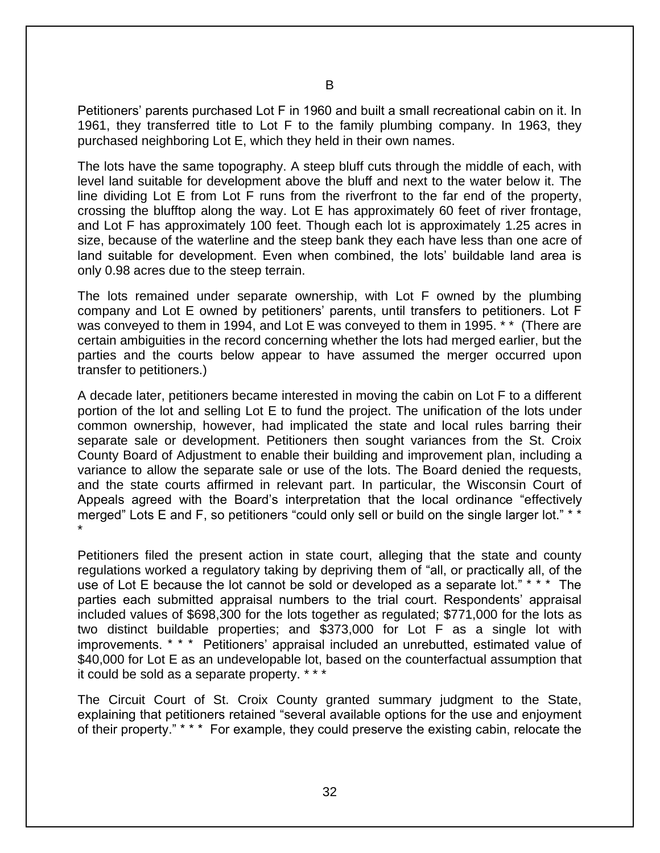Petitioners' parents purchased Lot F in 1960 and built a small recreational cabin on it. In 1961, they transferred title to Lot F to the family plumbing company. In 1963, they purchased neighboring Lot E, which they held in their own names.

The lots have the same topography. A steep bluff cuts through the middle of each, with level land suitable for development above the bluff and next to the water below it. The line dividing Lot E from Lot F runs from the riverfront to the far end of the property, crossing the blufftop along the way. Lot E has approximately 60 feet of river frontage, and Lot F has approximately 100 feet. Though each lot is approximately 1.25 acres in size, because of the waterline and the steep bank they each have less than one acre of land suitable for development. Even when combined, the lots' buildable land area is only 0.98 acres due to the steep terrain.

The lots remained under separate ownership, with Lot F owned by the plumbing company and Lot E owned by petitioners' parents, until transfers to petitioners. Lot F was conveyed to them in 1994, and Lot E was conveyed to them in 1995. \* \* (There are certain ambiguities in the record concerning whether the lots had merged earlier, but the parties and the courts below appear to have assumed the merger occurred upon transfer to petitioners.)

A decade later, petitioners became interested in moving the cabin on Lot F to a different portion of the lot and selling Lot E to fund the project. The unification of the lots under common ownership, however, had implicated the state and local rules barring their separate sale or development. Petitioners then sought variances from the St. Croix County Board of Adjustment to enable their building and improvement plan, including a variance to allow the separate sale or use of the lots. The Board denied the requests, and the state courts affirmed in relevant part. In particular, the Wisconsin Court of Appeals agreed with the Board's interpretation that the local ordinance "effectively merged" Lots E and F, so petitioners "could only sell or build on the single larger lot." \* \* \*

Petitioners filed the present action in state court, alleging that the state and county regulations worked a regulatory taking by depriving them of "all, or practically all, of the use of Lot E because the lot cannot be sold or developed as a separate lot." \* \* \* The parties each submitted appraisal numbers to the trial court. Respondents' appraisal included values of \$698,300 for the lots together as regulated; \$771,000 for the lots as two distinct buildable properties; and \$373,000 for Lot F as a single lot with improvements. \* \* \* Petitioners' appraisal included an unrebutted, estimated value of \$40,000 for Lot E as an undevelopable lot, based on the counterfactual assumption that it could be sold as a separate property. \* \* \*

The Circuit Court of St. Croix County granted summary judgment to the State, explaining that petitioners retained "several available options for the use and enjoyment of their property." \* \* \* For example, they could preserve the existing cabin, relocate the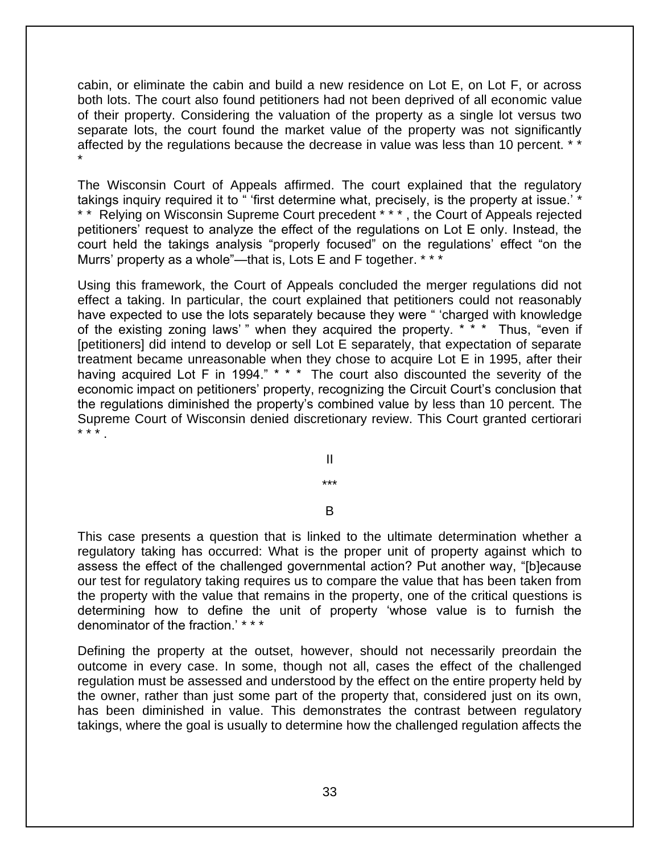cabin, or eliminate the cabin and build a new residence on Lot E, on Lot F, or across both lots. The court also found petitioners had not been deprived of all economic value of their property. Considering the valuation of the property as a single lot versus two separate lots, the court found the market value of the property was not significantly affected by the regulations because the decrease in value was less than 10 percent. \* \* \*

The Wisconsin Court of Appeals affirmed. The court explained that the regulatory takings inquiry required it to " 'first determine what, precisely, is the property at issue.' \* \* \* Relying on Wisconsin Supreme Court precedent \* \* \*, the Court of Appeals rejected petitioners' request to analyze the effect of the regulations on Lot E only. Instead, the court held the takings analysis "properly focused" on the regulations' effect "on the Murrs' property as a whole"—that is, Lots E and F together. \*\*\*

Using this framework, the Court of Appeals concluded the merger regulations did not effect a taking. In particular, the court explained that petitioners could not reasonably have expected to use the lots separately because they were " 'charged with knowledge of the existing zoning laws'" when they acquired the property. \* \* \* Thus, "even if [petitioners] did intend to develop or sell Lot E separately, that expectation of separate treatment became unreasonable when they chose to acquire Lot E in 1995, after their having acquired Lot F in 1994." \* \* \* The court also discounted the severity of the economic impact on petitioners' property, recognizing the Circuit Court's conclusion that the regulations diminished the property's combined value by less than 10 percent. The Supreme Court of Wisconsin denied discretionary review. This Court granted certiorari \* \* \* .

> II \*\*\*

#### B

This case presents a question that is linked to the ultimate determination whether a regulatory taking has occurred: What is the proper unit of property against which to assess the effect of the challenged governmental action? Put another way, "[b]ecause our test for regulatory taking requires us to compare the value that has been taken from the property with the value that remains in the property, one of the critical questions is determining how to define the unit of property 'whose value is to furnish the denominator of the fraction.' \* \* \*

Defining the property at the outset, however, should not necessarily preordain the outcome in every case. In some, though not all, cases the effect of the challenged regulation must be assessed and understood by the effect on the entire property held by the owner, rather than just some part of the property that, considered just on its own, has been diminished in value. This demonstrates the contrast between regulatory takings, where the goal is usually to determine how the challenged regulation affects the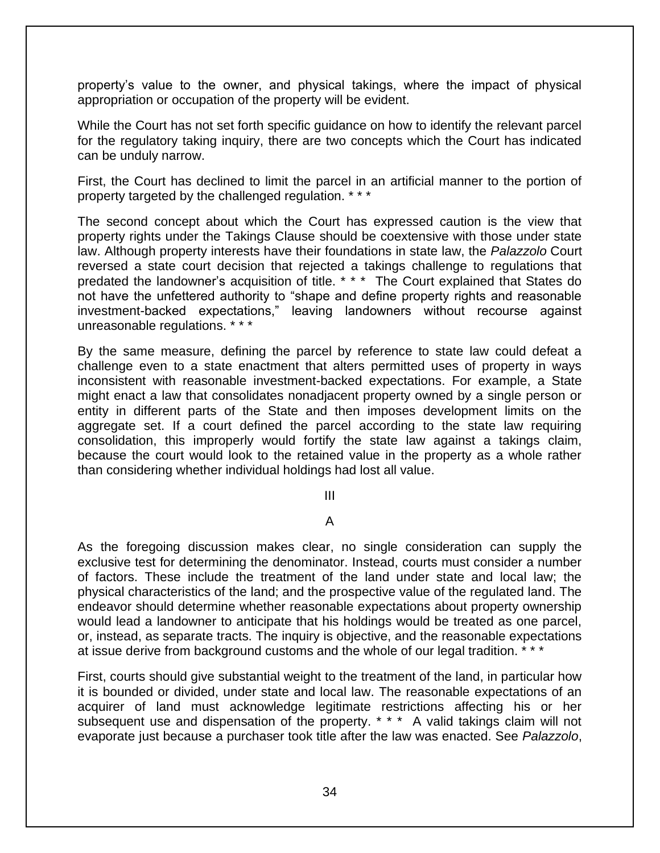property's value to the owner, and physical takings, where the impact of physical appropriation or occupation of the property will be evident.

While the Court has not set forth specific guidance on how to identify the relevant parcel for the regulatory taking inquiry, there are two concepts which the Court has indicated can be unduly narrow.

First, the Court has declined to limit the parcel in an artificial manner to the portion of property targeted by the challenged regulation. \* \* \*

The second concept about which the Court has expressed caution is the view that property rights under the Takings Clause should be coextensive with those under state law. Although property interests have their foundations in state law, the *Palazzolo* Court reversed a state court decision that rejected a takings challenge to regulations that predated the landowner's acquisition of title. \* \* \* The Court explained that States do not have the unfettered authority to "shape and define property rights and reasonable investment-backed expectations," leaving landowners without recourse against unreasonable regulations. \* \* \*

By the same measure, defining the parcel by reference to state law could defeat a challenge even to a state enactment that alters permitted uses of property in ways inconsistent with reasonable investment-backed expectations. For example, a State might enact a law that consolidates nonadjacent property owned by a single person or entity in different parts of the State and then imposes development limits on the aggregate set. If a court defined the parcel according to the state law requiring consolidation, this improperly would fortify the state law against a takings claim, because the court would look to the retained value in the property as a whole rather than considering whether individual holdings had lost all value.

III

#### A

As the foregoing discussion makes clear, no single consideration can supply the exclusive test for determining the denominator. Instead, courts must consider a number of factors. These include the treatment of the land under state and local law; the physical characteristics of the land; and the prospective value of the regulated land. The endeavor should determine whether reasonable expectations about property ownership would lead a landowner to anticipate that his holdings would be treated as one parcel, or, instead, as separate tracts. The inquiry is objective, and the reasonable expectations at issue derive from background customs and the whole of our legal tradition. \* \* \*

First, courts should give substantial weight to the treatment of the land, in particular how it is bounded or divided, under state and local law. The reasonable expectations of an acquirer of land must acknowledge legitimate restrictions affecting his or her subsequent use and dispensation of the property. \* \* \* A valid takings claim will not evaporate just because a purchaser took title after the law was enacted. See *Palazzolo*,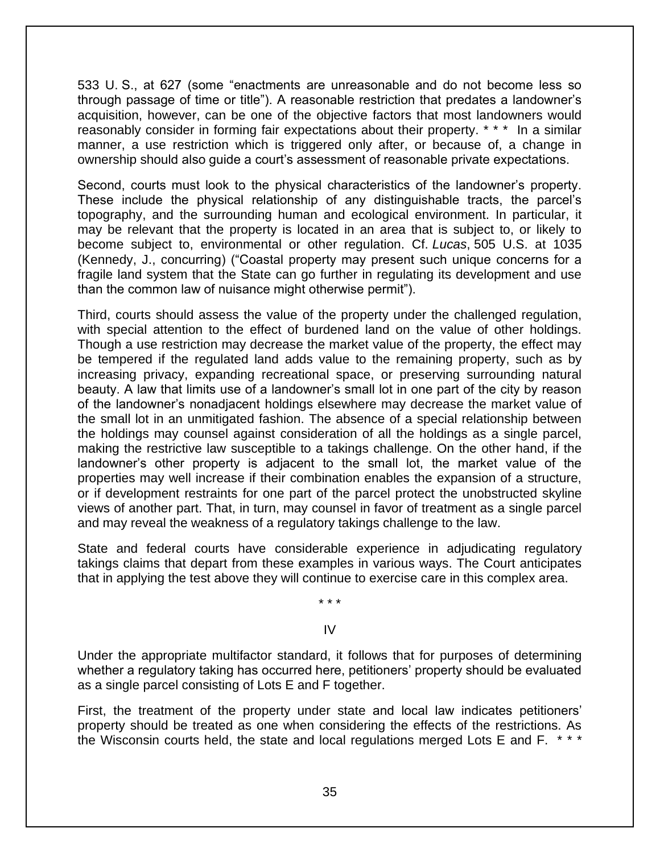533 U. S., at 627 (some "enactments are unreasonable and do not become less so through passage of time or title"). A reasonable restriction that predates a landowner's acquisition, however, can be one of the objective factors that most landowners would reasonably consider in forming fair expectations about their property. \* \* \* In a similar manner, a use restriction which is triggered only after, or because of, a change in ownership should also guide a court's assessment of reasonable private expectations.

Second, courts must look to the physical characteristics of the landowner's property. These include the physical relationship of any distinguishable tracts, the parcel's topography, and the surrounding human and ecological environment. In particular, it may be relevant that the property is located in an area that is subject to, or likely to become subject to, environmental or other regulation. Cf. *Lucas*, 505 U.S. at 1035 (Kennedy, J., concurring) ("Coastal property may present such unique concerns for a fragile land system that the State can go further in regulating its development and use than the common law of nuisance might otherwise permit").

Third, courts should assess the value of the property under the challenged regulation, with special attention to the effect of burdened land on the value of other holdings. Though a use restriction may decrease the market value of the property, the effect may be tempered if the regulated land adds value to the remaining property, such as by increasing privacy, expanding recreational space, or preserving surrounding natural beauty. A law that limits use of a landowner's small lot in one part of the city by reason of the landowner's nonadjacent holdings elsewhere may decrease the market value of the small lot in an unmitigated fashion. The absence of a special relationship between the holdings may counsel against consideration of all the holdings as a single parcel, making the restrictive law susceptible to a takings challenge. On the other hand, if the landowner's other property is adjacent to the small lot, the market value of the properties may well increase if their combination enables the expansion of a structure, or if development restraints for one part of the parcel protect the unobstructed skyline views of another part. That, in turn, may counsel in favor of treatment as a single parcel and may reveal the weakness of a regulatory takings challenge to the law.

State and federal courts have considerable experience in adjudicating regulatory takings claims that depart from these examples in various ways. The Court anticipates that in applying the test above they will continue to exercise care in this complex area.

\* \* \*

#### IV

Under the appropriate multifactor standard, it follows that for purposes of determining whether a regulatory taking has occurred here, petitioners' property should be evaluated as a single parcel consisting of Lots E and F together.

First, the treatment of the property under state and local law indicates petitioners' property should be treated as one when considering the effects of the restrictions. As the Wisconsin courts held, the state and local regulations merged Lots E and F. \*\*\*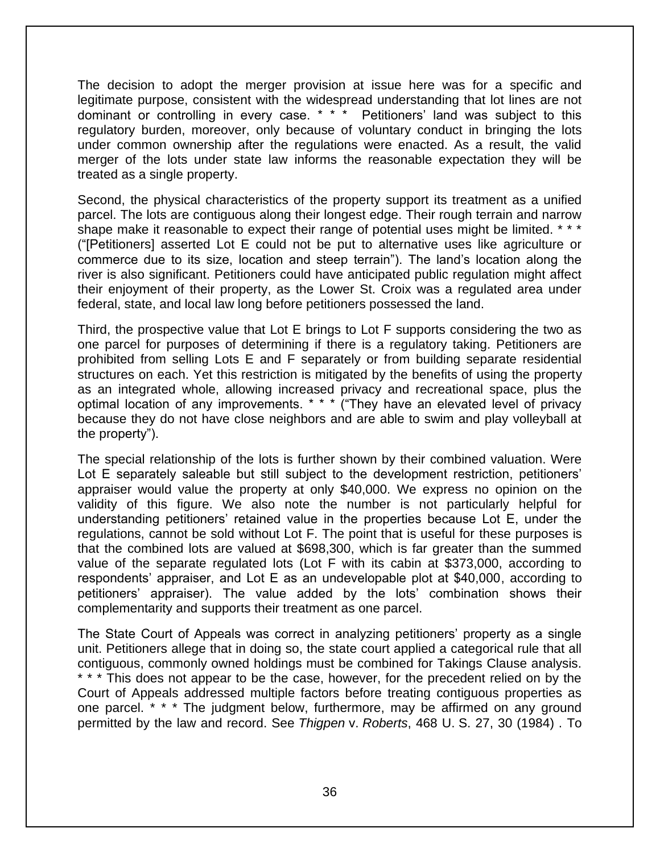The decision to adopt the merger provision at issue here was for a specific and legitimate purpose, consistent with the widespread understanding that lot lines are not dominant or controlling in every case. \* \* \* Petitioners' land was subject to this regulatory burden, moreover, only because of voluntary conduct in bringing the lots under common ownership after the regulations were enacted. As a result, the valid merger of the lots under state law informs the reasonable expectation they will be treated as a single property.

Second, the physical characteristics of the property support its treatment as a unified parcel. The lots are contiguous along their longest edge. Their rough terrain and narrow shape make it reasonable to expect their range of potential uses might be limited. \*\*\* ("[Petitioners] asserted Lot E could not be put to alternative uses like agriculture or commerce due to its size, location and steep terrain"). The land's location along the river is also significant. Petitioners could have anticipated public regulation might affect their enjoyment of their property, as the Lower St. Croix was a regulated area under federal, state, and local law long before petitioners possessed the land.

Third, the prospective value that Lot E brings to Lot F supports considering the two as one parcel for purposes of determining if there is a regulatory taking. Petitioners are prohibited from selling Lots E and F separately or from building separate residential structures on each. Yet this restriction is mitigated by the benefits of using the property as an integrated whole, allowing increased privacy and recreational space, plus the optimal location of any improvements. \* \* \* ("They have an elevated level of privacy because they do not have close neighbors and are able to swim and play volleyball at the property").

The special relationship of the lots is further shown by their combined valuation. Were Lot E separately saleable but still subject to the development restriction, petitioners' appraiser would value the property at only \$40,000. We express no opinion on the validity of this figure. We also note the number is not particularly helpful for understanding petitioners' retained value in the properties because Lot E, under the regulations, cannot be sold without Lot F. The point that is useful for these purposes is that the combined lots are valued at \$698,300, which is far greater than the summed value of the separate regulated lots (Lot F with its cabin at \$373,000, according to respondents' appraiser, and Lot E as an undevelopable plot at \$40,000, according to petitioners' appraiser). The value added by the lots' combination shows their complementarity and supports their treatment as one parcel.

The State Court of Appeals was correct in analyzing petitioners' property as a single unit. Petitioners allege that in doing so, the state court applied a categorical rule that all contiguous, commonly owned holdings must be combined for Takings Clause analysis. \* \* \* This does not appear to be the case, however, for the precedent relied on by the Court of Appeals addressed multiple factors before treating contiguous properties as one parcel. \* \* \* The judgment below, furthermore, may be affirmed on any ground permitted by the law and record. See *Thigpen* v. *Roberts*, 468 U. S. 27, 30 (1984) . To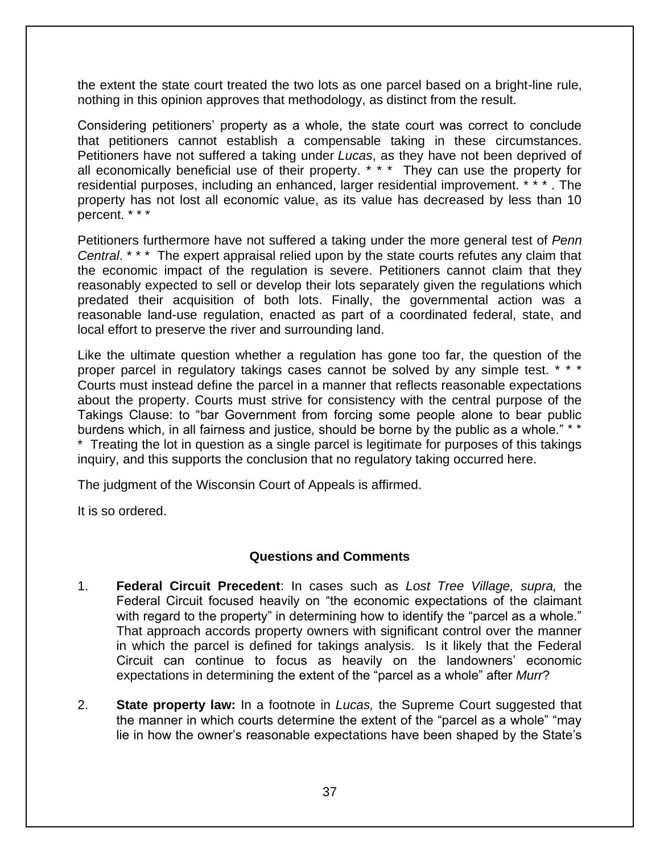the extent the state court treated the two lots as one parcel based on a bright-line rule, nothing in this opinion approves that methodology, as distinct from the result.

Considering petitioners' property as a whole, the state court was correct to conclude that petitioners cannot establish a compensable taking in these circumstances. Petitioners have not suffered a taking under *Lucas*, as they have not been deprived of all economically beneficial use of their property. \* \* \* They can use the property for residential purposes, including an enhanced, larger residential improvement. \* \* \* . The property has not lost all economic value, as its value has decreased by less than 10 percent. \* \* \*

Petitioners furthermore have not suffered a taking under the more general test of *Penn Central*. \* \* \* The expert appraisal relied upon by the state courts refutes any claim that the economic impact of the regulation is severe. Petitioners cannot claim that they reasonably expected to sell or develop their lots separately given the regulations which predated their acquisition of both lots. Finally, the governmental action was a reasonable land-use regulation, enacted as part of a coordinated federal, state, and local effort to preserve the river and surrounding land.

Like the ultimate question whether a regulation has gone too far, the question of the proper parcel in regulatory takings cases cannot be solved by any simple test. \* \* \* Courts must instead define the parcel in a manner that reflects reasonable expectations about the property. Courts must strive for consistency with the central purpose of the Takings Clause: to "bar Government from forcing some people alone to bear public burdens which, in all fairness and justice, should be borne by the public as a whole." \* \* \* Treating the lot in question as a single parcel is legitimate for purposes of this takings inquiry, and this supports the conclusion that no regulatory taking occurred here.

The judgment of the Wisconsin Court of Appeals is affirmed.

It is so ordered.

#### **Questions and Comments**

- 1. **Federal Circuit Precedent**: In cases such as *Lost Tree Village, supra,* the Federal Circuit focused heavily on "the economic expectations of the claimant with regard to the property" in determining how to identify the "parcel as a whole." That approach accords property owners with significant control over the manner in which the parcel is defined for takings analysis. Is it likely that the Federal Circuit can continue to focus as heavily on the landowners' economic expectations in determining the extent of the "parcel as a whole" after *Murr*?
- 2. **State property law:** In a footnote in *Lucas,* the Supreme Court suggested that the manner in which courts determine the extent of the "parcel as a whole" "may lie in how the owner's reasonable expectations have been shaped by the State's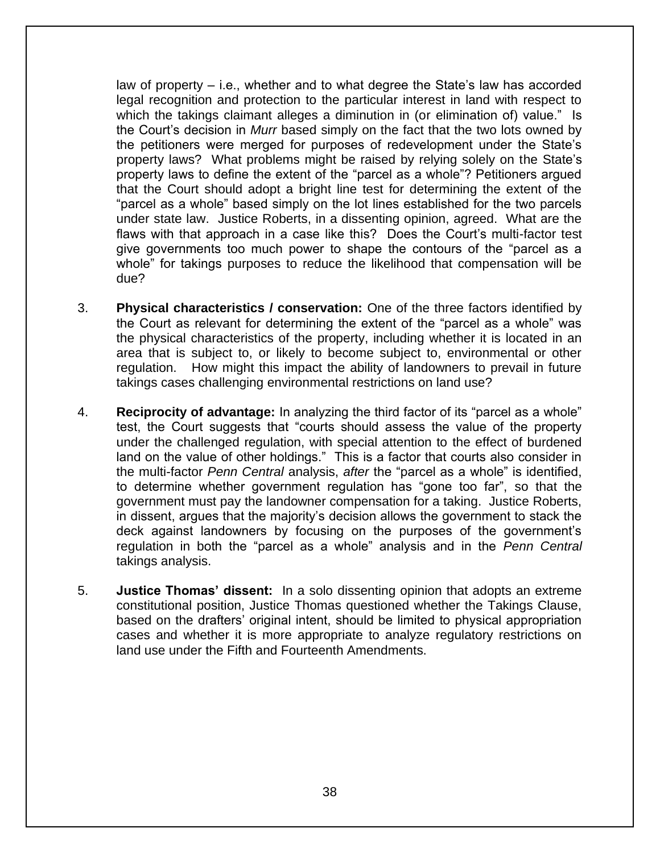law of property – i.e., whether and to what degree the State's law has accorded legal recognition and protection to the particular interest in land with respect to which the takings claimant alleges a diminution in (or elimination of) value." Is the Court's decision in *Murr* based simply on the fact that the two lots owned by the petitioners were merged for purposes of redevelopment under the State's property laws? What problems might be raised by relying solely on the State's property laws to define the extent of the "parcel as a whole"? Petitioners argued that the Court should adopt a bright line test for determining the extent of the "parcel as a whole" based simply on the lot lines established for the two parcels under state law. Justice Roberts, in a dissenting opinion, agreed. What are the flaws with that approach in a case like this? Does the Court's multi-factor test give governments too much power to shape the contours of the "parcel as a whole" for takings purposes to reduce the likelihood that compensation will be due?

- 3. **Physical characteristics / conservation:** One of the three factors identified by the Court as relevant for determining the extent of the "parcel as a whole" was the physical characteristics of the property, including whether it is located in an area that is subject to, or likely to become subject to, environmental or other regulation. How might this impact the ability of landowners to prevail in future takings cases challenging environmental restrictions on land use?
- 4. **Reciprocity of advantage:** In analyzing the third factor of its "parcel as a whole" test, the Court suggests that "courts should assess the value of the property under the challenged regulation, with special attention to the effect of burdened land on the value of other holdings." This is a factor that courts also consider in the multi-factor *Penn Central* analysis, *after* the "parcel as a whole" is identified, to determine whether government regulation has "gone too far", so that the government must pay the landowner compensation for a taking. Justice Roberts, in dissent, argues that the majority's decision allows the government to stack the deck against landowners by focusing on the purposes of the government's regulation in both the "parcel as a whole" analysis and in the *Penn Central*  takings analysis.
- 5. **Justice Thomas' dissent:** In a solo dissenting opinion that adopts an extreme constitutional position, Justice Thomas questioned whether the Takings Clause, based on the drafters' original intent, should be limited to physical appropriation cases and whether it is more appropriate to analyze regulatory restrictions on land use under the Fifth and Fourteenth Amendments.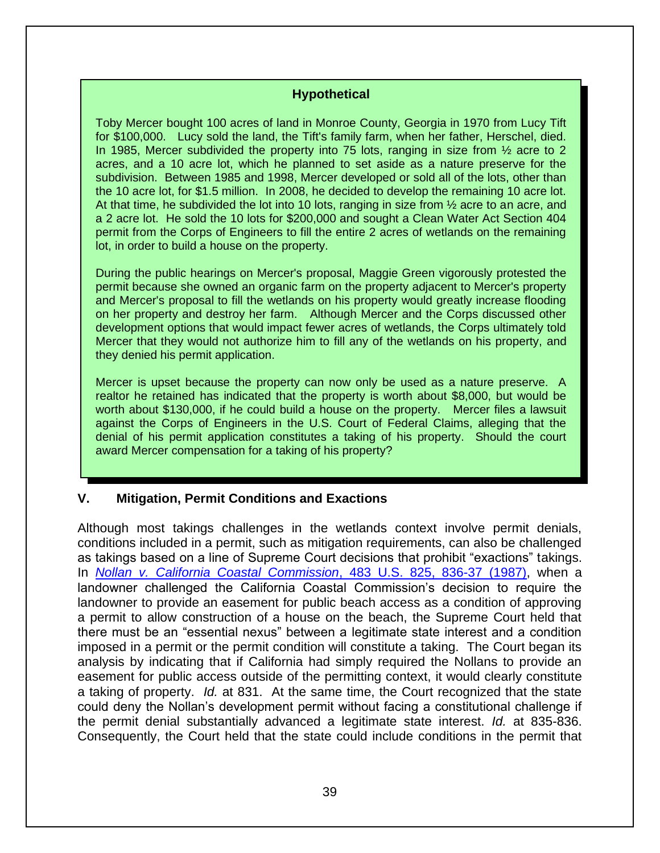# **Hypothetical**

Toby Mercer bought 100 acres of land in Monroe County, Georgia in 1970 from Lucy Tift for \$100,000. Lucy sold the land, the Tift's family farm, when her father, Herschel, died. In 1985, Mercer subdivided the property into 75 lots, ranging in size from  $\frac{1}{2}$  acre to 2 acres, and a 10 acre lot, which he planned to set aside as a nature preserve for the subdivision. Between 1985 and 1998, Mercer developed or sold all of the lots, other than the 10 acre lot, for \$1.5 million. In 2008, he decided to develop the remaining 10 acre lot. At that time, he subdivided the lot into 10 lots, ranging in size from ½ acre to an acre, and a 2 acre lot. He sold the 10 lots for \$200,000 and sought a Clean Water Act Section 404 permit from the Corps of Engineers to fill the entire 2 acres of wetlands on the remaining lot, in order to build a house on the property.

During the public hearings on Mercer's proposal, Maggie Green vigorously protested the permit because she owned an organic farm on the property adjacent to Mercer's property and Mercer's proposal to fill the wetlands on his property would greatly increase flooding on her property and destroy her farm. Although Mercer and the Corps discussed other development options that would impact fewer acres of wetlands, the Corps ultimately told Mercer that they would not authorize him to fill any of the wetlands on his property, and they denied his permit application.

Mercer is upset because the property can now only be used as a nature preserve. A realtor he retained has indicated that the property is worth about \$8,000, but would be worth about \$130,000, if he could build a house on the property. Mercer files a lawsuit against the Corps of Engineers in the U.S. Court of Federal Claims, alleging that the denial of his permit application constitutes a taking of his property. Should the court award Mercer compensation for a taking of his property?

#### **V. Mitigation, Permit Conditions and Exactions**

Although most takings challenges in the wetlands context involve permit denials, conditions included in a permit, such as mitigation requirements, can also be challenged as takings based on a line of Supreme Court decisions that prohibit "exactions" takings. In *[Nollan v. California Coastal Commission](http://supreme.justia.com/cases/federal/us/483/825/case.html)*, 483 U.S. 825, 836-37 (1987), when a landowner challenged the California Coastal Commission's decision to require the landowner to provide an easement for public beach access as a condition of approving a permit to allow construction of a house on the beach, the Supreme Court held that there must be an "essential nexus" between a legitimate state interest and a condition imposed in a permit or the permit condition will constitute a taking. The Court began its analysis by indicating that if California had simply required the Nollans to provide an easement for public access outside of the permitting context, it would clearly constitute a taking of property. *Id.* at 831. At the same time, the Court recognized that the state could deny the Nollan's development permit without facing a constitutional challenge if the permit denial substantially advanced a legitimate state interest. *Id.* at 835-836. Consequently, the Court held that the state could include conditions in the permit that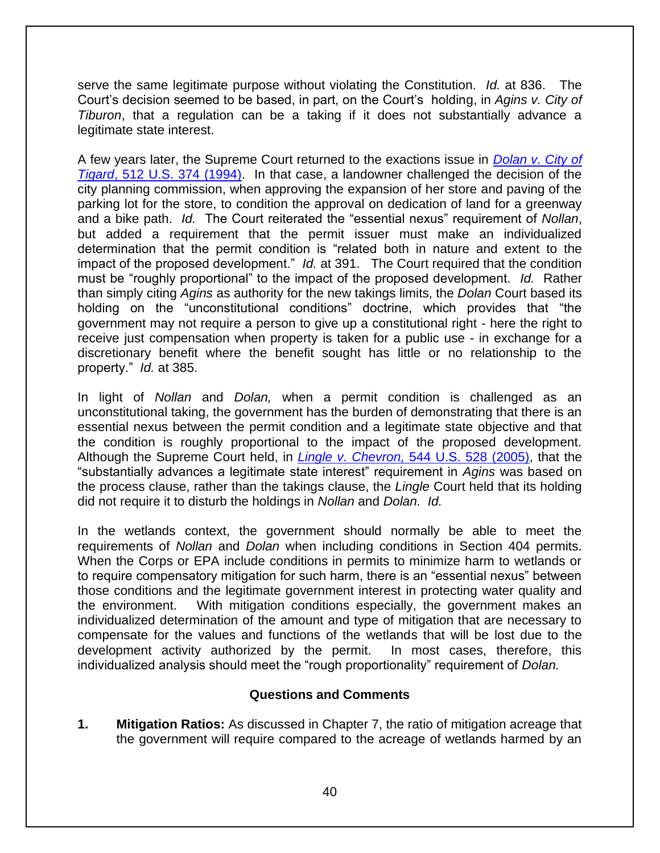serve the same legitimate purpose without violating the Constitution. *Id.* at 836. The Court's decision seemed to be based, in part, on the Court's holding, in *Agins v. City of Tiburon*, that a regulation can be a taking if it does not substantially advance a legitimate state interest.

A few years later, the Supreme Court returned to the exactions issue in *[Dolan v. City of](http://supreme.justia.com/cases/federal/us/512/374/)  Tigard*[, 512 U.S. 374 \(1994\).](http://supreme.justia.com/cases/federal/us/512/374/) In that case, a landowner challenged the decision of the city planning commission, when approving the expansion of her store and paving of the parking lot for the store, to condition the approval on dedication of land for a greenway and a bike path. *Id.* The Court reiterated the "essential nexus" requirement of *Nollan*, but added a requirement that the permit issuer must make an individualized determination that the permit condition is "related both in nature and extent to the impact of the proposed development." *Id.* at 391. The Court required that the condition must be "roughly proportional" to the impact of the proposed development. *Id.* Rather than simply citing *Agins* as authority for the new takings limits, the *Dolan* Court based its holding on the "unconstitutional conditions" doctrine, which provides that "the government may not require a person to give up a constitutional right - here the right to receive just compensation when property is taken for a public use - in exchange for a discretionary benefit where the benefit sought has little or no relationship to the property." *Id.* at 385.

In light of *Nollan* and *Dolan,* when a permit condition is challenged as an unconstitutional taking, the government has the burden of demonstrating that there is an essential nexus between the permit condition and a legitimate state objective and that the condition is roughly proportional to the impact of the proposed development. Although the Supreme Court held, in *Lingle v. Chevron,* [544 U.S. 528 \(2005\),](http://supreme.justia.com/cases/federal/us/544/04-163/) that the "substantially advances a legitimate state interest" requirement in *Agins* was based on the process clause, rather than the takings clause, the *Lingle* Court held that its holding did not require it to disturb the holdings in *Nollan* and *Dolan. Id.*

In the wetlands context, the government should normally be able to meet the requirements of *Nollan* and *Dolan* when including conditions in Section 404 permits. When the Corps or EPA include conditions in permits to minimize harm to wetlands or to require compensatory mitigation for such harm, there is an "essential nexus" between those conditions and the legitimate government interest in protecting water quality and the environment. With mitigation conditions especially, the government makes an individualized determination of the amount and type of mitigation that are necessary to compensate for the values and functions of the wetlands that will be lost due to the development activity authorized by the permit. In most cases, therefore, this individualized analysis should meet the "rough proportionality" requirement of *Dolan.* 

#### **Questions and Comments**

**1. Mitigation Ratios:** As discussed in Chapter 7, the ratio of mitigation acreage that the government will require compared to the acreage of wetlands harmed by an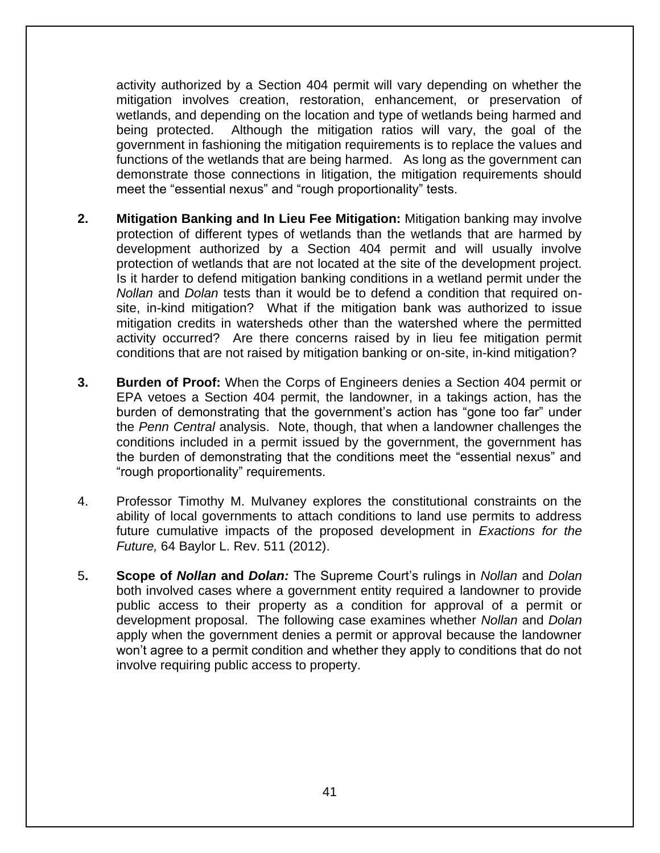activity authorized by a Section 404 permit will vary depending on whether the mitigation involves creation, restoration, enhancement, or preservation of wetlands, and depending on the location and type of wetlands being harmed and being protected. Although the mitigation ratios will vary, the goal of the government in fashioning the mitigation requirements is to replace the values and functions of the wetlands that are being harmed. As long as the government can demonstrate those connections in litigation, the mitigation requirements should meet the "essential nexus" and "rough proportionality" tests.

- **2. Mitigation Banking and In Lieu Fee Mitigation:** Mitigation banking may involve protection of different types of wetlands than the wetlands that are harmed by development authorized by a Section 404 permit and will usually involve protection of wetlands that are not located at the site of the development project. Is it harder to defend mitigation banking conditions in a wetland permit under the *Nollan* and *Dolan* tests than it would be to defend a condition that required onsite, in-kind mitigation? What if the mitigation bank was authorized to issue mitigation credits in watersheds other than the watershed where the permitted activity occurred? Are there concerns raised by in lieu fee mitigation permit conditions that are not raised by mitigation banking or on-site, in-kind mitigation?
- **3. Burden of Proof:** When the Corps of Engineers denies a Section 404 permit or EPA vetoes a Section 404 permit, the landowner, in a takings action, has the burden of demonstrating that the government's action has "gone too far" under the *Penn Central* analysis. Note, though, that when a landowner challenges the conditions included in a permit issued by the government, the government has the burden of demonstrating that the conditions meet the "essential nexus" and "rough proportionality" requirements.
- 4. Professor Timothy M. Mulvaney explores the constitutional constraints on the ability of local governments to attach conditions to land use permits to address future cumulative impacts of the proposed development in *Exactions for the Future,* 64 Baylor L. Rev. 511 (2012).
- 5**. Scope of** *Nollan* **and** *Dolan:* The Supreme Court's rulings in *Nollan* and *Dolan* both involved cases where a government entity required a landowner to provide public access to their property as a condition for approval of a permit or development proposal. The following case examines whether *Nollan* and *Dolan* apply when the government denies a permit or approval because the landowner won't agree to a permit condition and whether they apply to conditions that do not involve requiring public access to property.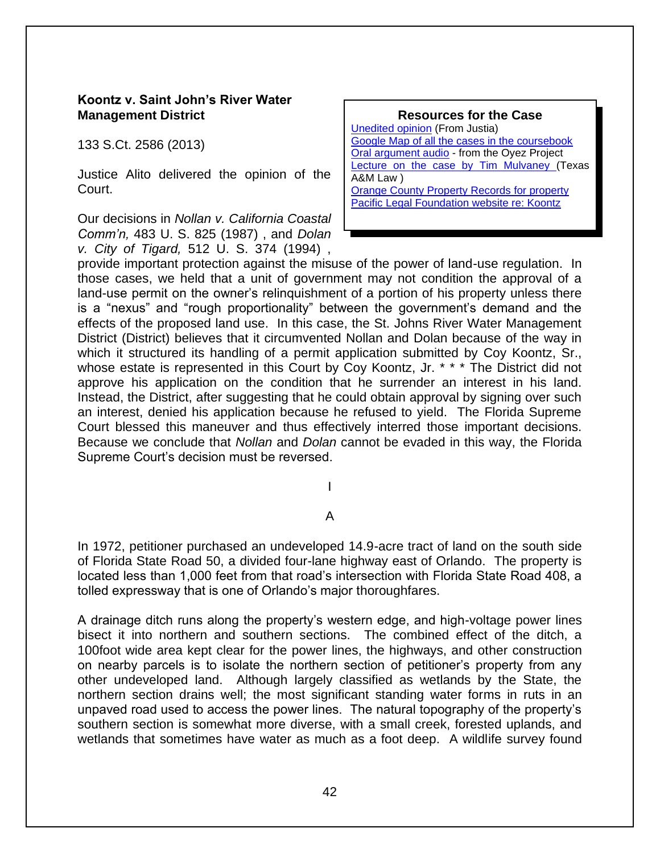#### **Koontz v. Saint John's River Water Management District**

133 S.Ct. 2586 (2013)

Justice Alito delivered the opinion of the Court.

Our decisions in *Nollan v. California Coastal Comm'n,* 483 U. S. 825 (1987) , and *Dolan v. City of Tigard,* 512 U. S. 374 (1994) ,

#### **Resources for the Case**

[Unedited opinion](http://supreme.justia.com/cases/federal/us/570/11-1447/) (From Justia) [Google Map of all the cases in the coursebook](https://mapsengine.google.com/map/viewer?mid=z7VLNS5X2EBs.k2lYjQFqDWiI)  [Oral argument audio](http://www.oyez.org/cases/2010-2019/2012/2012_11_1447/argument) - from the Oyez Project [Lecture on the case by Tim Mulvaney \(](https://youtu.be/PRw8LF62z6w)Texas A&M Law ) [Orange County Property Records for property](http://www.ocpafl.org/Searches/ParcelSearch.aspx/PID/312223000000046)  [Pacific Legal Foundation website re: Koontz](https://pacificlegal.org/case/st-johns-river-water-management-district-v-koontz/) 

provide important protection against the misuse of the power of land-use regulation. In those cases, we held that a unit of government may not condition the approval of a land-use permit on the owner's relinquishment of a portion of his property unless there is a "nexus" and "rough proportionality" between the government's demand and the effects of the proposed land use. In this case, the St. Johns River Water Management District (District) believes that it circumvented Nollan and Dolan because of the way in which it structured its handling of a permit application submitted by Coy Koontz, Sr., whose estate is represented in this Court by Coy Koontz, Jr. \* \* \* The District did not approve his application on the condition that he surrender an interest in his land. Instead, the District, after suggesting that he could obtain approval by signing over such an interest, denied his application because he refused to yield. The Florida Supreme Court blessed this maneuver and thus effectively interred those important decisions. Because we conclude that *Nollan* and *Dolan* cannot be evaded in this way, the Florida Supreme Court's decision must be reversed.

I

#### A

In 1972, petitioner purchased an undeveloped 14.9-acre tract of land on the south side of Florida State Road 50, a divided four-lane highway east of Orlando. The property is located less than 1,000 feet from that road's intersection with Florida State Road 408, a tolled expressway that is one of Orlando's major thoroughfares.

A drainage ditch runs along the property's western edge, and high-voltage power lines bisect it into northern and southern sections. The combined effect of the ditch, a 100foot wide area kept clear for the power lines, the highways, and other construction on nearby parcels is to isolate the northern section of petitioner's property from any other undeveloped land. Although largely classified as wetlands by the State, the northern section drains well; the most significant standing water forms in ruts in an unpaved road used to access the power lines. The natural topography of the property's southern section is somewhat more diverse, with a small creek, forested uplands, and wetlands that sometimes have water as much as a foot deep. A wildlife survey found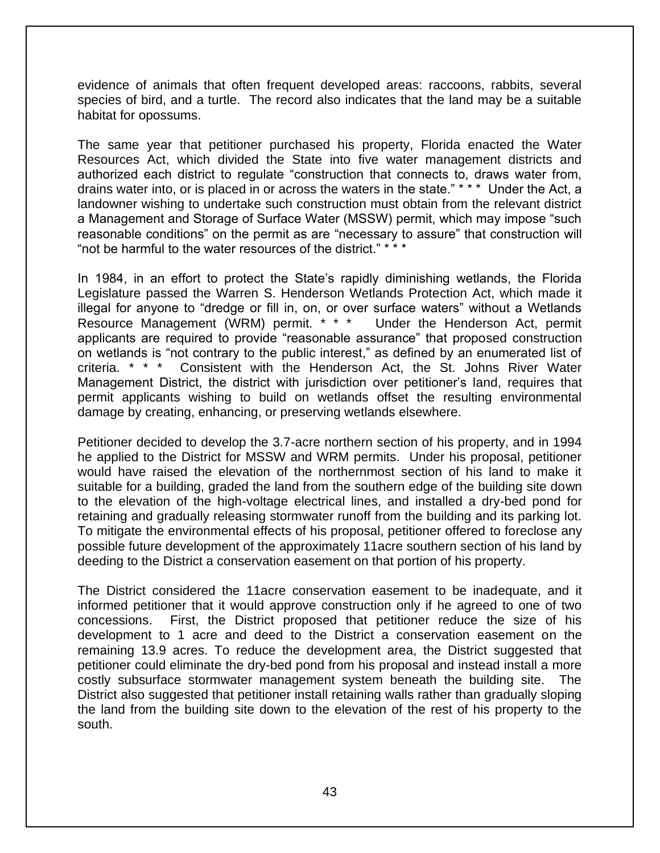evidence of animals that often frequent developed areas: raccoons, rabbits, several species of bird, and a turtle. The record also indicates that the land may be a suitable habitat for opossums.

The same year that petitioner purchased his property, Florida enacted the Water Resources Act, which divided the State into five water management districts and authorized each district to regulate "construction that connects to, draws water from, drains water into, or is placed in or across the waters in the state." \* \* \* Under the Act, a landowner wishing to undertake such construction must obtain from the relevant district a Management and Storage of Surface Water (MSSW) permit, which may impose "such reasonable conditions" on the permit as are "necessary to assure" that construction will "not be harmful to the water resources of the district." \* \* \*

In 1984, in an effort to protect the State's rapidly diminishing wetlands, the Florida Legislature passed the Warren S. Henderson Wetlands Protection Act, which made it illegal for anyone to "dredge or fill in, on, or over surface waters" without a Wetlands Resource Management (WRM) permit. \* \* \* Under the Henderson Act, permit applicants are required to provide "reasonable assurance" that proposed construction on wetlands is "not contrary to the public interest," as defined by an enumerated list of criteria. \* \* \* Consistent with the Henderson Act, the St. Johns River Water Management District, the district with jurisdiction over petitioner's land, requires that permit applicants wishing to build on wetlands offset the resulting environmental damage by creating, enhancing, or preserving wetlands elsewhere.

Petitioner decided to develop the 3.7-acre northern section of his property, and in 1994 he applied to the District for MSSW and WRM permits. Under his proposal, petitioner would have raised the elevation of the northernmost section of his land to make it suitable for a building, graded the land from the southern edge of the building site down to the elevation of the high-voltage electrical lines, and installed a dry-bed pond for retaining and gradually releasing stormwater runoff from the building and its parking lot. To mitigate the environmental effects of his proposal, petitioner offered to foreclose any possible future development of the approximately 11acre southern section of his land by deeding to the District a conservation easement on that portion of his property.

The District considered the 11acre conservation easement to be inadequate, and it informed petitioner that it would approve construction only if he agreed to one of two concessions. First, the District proposed that petitioner reduce the size of his development to 1 acre and deed to the District a conservation easement on the remaining 13.9 acres. To reduce the development area, the District suggested that petitioner could eliminate the dry-bed pond from his proposal and instead install a more costly subsurface stormwater management system beneath the building site. The District also suggested that petitioner install retaining walls rather than gradually sloping the land from the building site down to the elevation of the rest of his property to the south.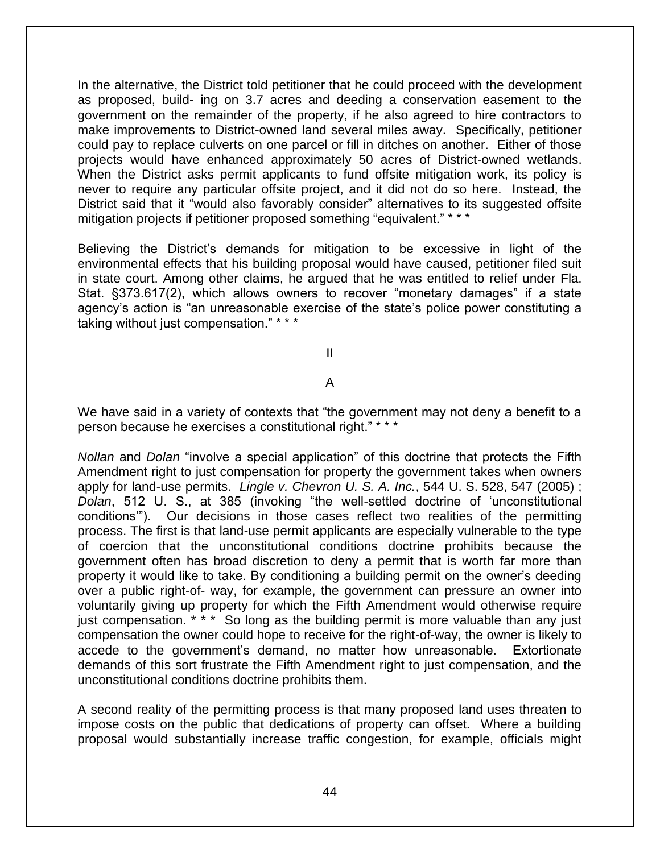In the alternative, the District told petitioner that he could proceed with the development as proposed, build- ing on 3.7 acres and deeding a conservation easement to the government on the remainder of the property, if he also agreed to hire contractors to make improvements to District-owned land several miles away. Specifically, petitioner could pay to replace culverts on one parcel or fill in ditches on another. Either of those projects would have enhanced approximately 50 acres of District-owned wetlands. When the District asks permit applicants to fund offsite mitigation work, its policy is never to require any particular offsite project, and it did not do so here. Instead, the District said that it "would also favorably consider" alternatives to its suggested offsite mitigation projects if petitioner proposed something "equivalent." \* \* \*

Believing the District's demands for mitigation to be excessive in light of the environmental effects that his building proposal would have caused, petitioner filed suit in state court. Among other claims, he argued that he was entitled to relief under Fla. Stat. §373.617(2), which allows owners to recover "monetary damages" if a state agency's action is "an unreasonable exercise of the state's police power constituting a taking without just compensation." \* \* \*

II

## A

We have said in a variety of contexts that "the government may not deny a benefit to a person because he exercises a constitutional right." \* \* \*

*Nollan* and *Dolan* "involve a special application" of this doctrine that protects the Fifth Amendment right to just compensation for property the government takes when owners apply for land-use permits. *Lingle v. Chevron U. S. A. Inc.*, 544 U. S. 528, 547 (2005) ; *Dolan*, 512 U. S., at 385 (invoking "the well-settled doctrine of 'unconstitutional conditions'"). Our decisions in those cases reflect two realities of the permitting process. The first is that land-use permit applicants are especially vulnerable to the type of coercion that the unconstitutional conditions doctrine prohibits because the government often has broad discretion to deny a permit that is worth far more than property it would like to take. By conditioning a building permit on the owner's deeding over a public right-of- way, for example, the government can pressure an owner into voluntarily giving up property for which the Fifth Amendment would otherwise require just compensation. \* \* \* So long as the building permit is more valuable than any just compensation the owner could hope to receive for the right-of-way, the owner is likely to accede to the government's demand, no matter how unreasonable. Extortionate demands of this sort frustrate the Fifth Amendment right to just compensation, and the unconstitutional conditions doctrine prohibits them.

A second reality of the permitting process is that many proposed land uses threaten to impose costs on the public that dedications of property can offset. Where a building proposal would substantially increase traffic congestion, for example, officials might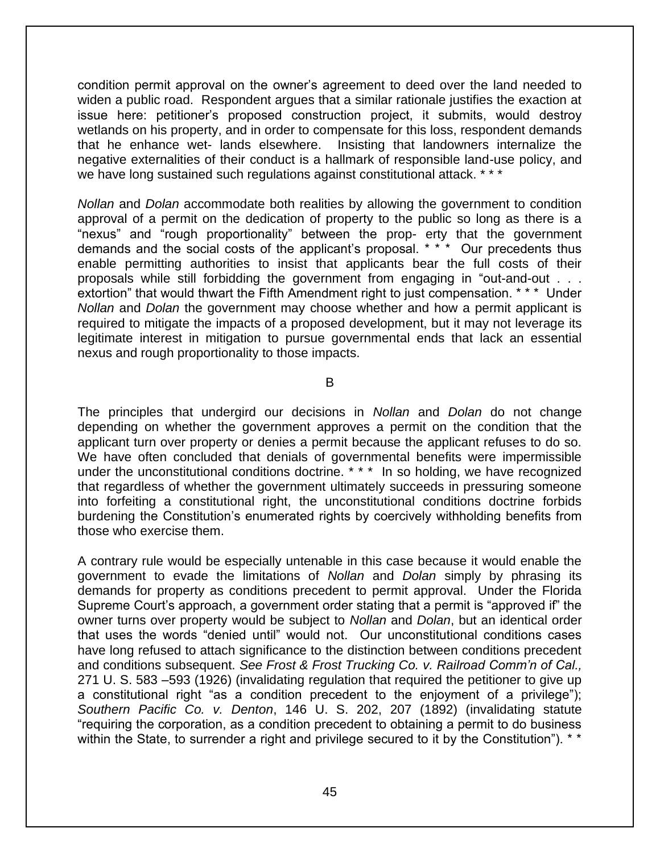condition permit approval on the owner's agreement to deed over the land needed to widen a public road. Respondent argues that a similar rationale justifies the exaction at issue here: petitioner's proposed construction project, it submits, would destroy wetlands on his property, and in order to compensate for this loss, respondent demands that he enhance wet- lands elsewhere. Insisting that landowners internalize the negative externalities of their conduct is a hallmark of responsible land-use policy, and we have long sustained such regulations against constitutional attack. \*\*\*

*Nollan* and *Dolan* accommodate both realities by allowing the government to condition approval of a permit on the dedication of property to the public so long as there is a "nexus" and "rough proportionality" between the prop- erty that the government demands and the social costs of the applicant's proposal. \* \* \* Our precedents thus enable permitting authorities to insist that applicants bear the full costs of their proposals while still forbidding the government from engaging in "out-and-out . . . extortion" that would thwart the Fifth Amendment right to just compensation. \* \* \* Under *Nollan* and *Dolan* the government may choose whether and how a permit applicant is required to mitigate the impacts of a proposed development, but it may not leverage its legitimate interest in mitigation to pursue governmental ends that lack an essential nexus and rough proportionality to those impacts.

B

The principles that undergird our decisions in *Nollan* and *Dolan* do not change depending on whether the government approves a permit on the condition that the applicant turn over property or denies a permit because the applicant refuses to do so. We have often concluded that denials of governmental benefits were impermissible under the unconstitutional conditions doctrine. \* \* \* In so holding, we have recognized that regardless of whether the government ultimately succeeds in pressuring someone into forfeiting a constitutional right, the unconstitutional conditions doctrine forbids burdening the Constitution's enumerated rights by coercively withholding benefits from those who exercise them.

A contrary rule would be especially untenable in this case because it would enable the government to evade the limitations of *Nollan* and *Dolan* simply by phrasing its demands for property as conditions precedent to permit approval. Under the Florida Supreme Court's approach, a government order stating that a permit is "approved if" the owner turns over property would be subject to *Nollan* and *Dolan*, but an identical order that uses the words "denied until" would not. Our unconstitutional conditions cases have long refused to attach significance to the distinction between conditions precedent and conditions subsequent. *See Frost & Frost Trucking Co. v. Railroad Comm'n of Cal.,* 271 U. S. 583 –593 (1926) (invalidating regulation that required the petitioner to give up a constitutional right "as a condition precedent to the enjoyment of a privilege"); *Southern Pacific Co. v. Denton*, 146 U. S. 202, 207 (1892) (invalidating statute "requiring the corporation, as a condition precedent to obtaining a permit to do business within the State, to surrender a right and privilege secured to it by the Constitution"). \*\*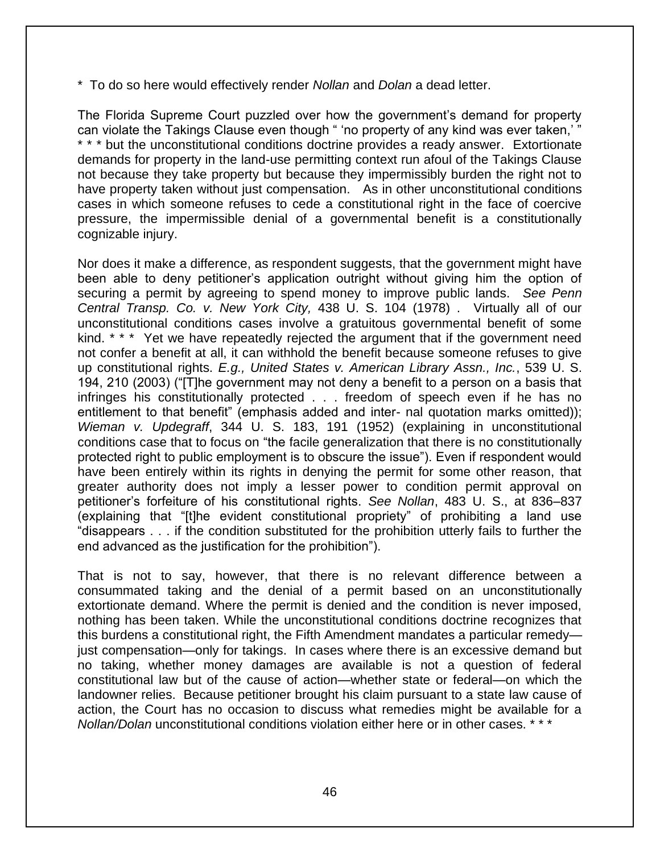\* To do so here would effectively render *Nollan* and *Dolan* a dead letter.

The Florida Supreme Court puzzled over how the government's demand for property can violate the Takings Clause even though " 'no property of any kind was ever taken,' \* \* \* but the unconstitutional conditions doctrine provides a ready answer. Extortionate demands for property in the land-use permitting context run afoul of the Takings Clause not because they take property but because they impermissibly burden the right not to have property taken without just compensation. As in other unconstitutional conditions cases in which someone refuses to cede a constitutional right in the face of coercive pressure, the impermissible denial of a governmental benefit is a constitutionally cognizable injury.

Nor does it make a difference, as respondent suggests, that the government might have been able to deny petitioner's application outright without giving him the option of securing a permit by agreeing to spend money to improve public lands. *See Penn Central Transp. Co. v. New York City,* 438 U. S. 104 (1978) . Virtually all of our unconstitutional conditions cases involve a gratuitous governmental benefit of some kind. \* \* \* Yet we have repeatedly rejected the argument that if the government need not confer a benefit at all, it can withhold the benefit because someone refuses to give up constitutional rights. *E.g., United States v. American Library Assn., Inc.*, 539 U. S. 194, 210 (2003) ("[T]he government may not deny a benefit to a person on a basis that infringes his constitutionally protected . . . freedom of speech even if he has no entitlement to that benefit" (emphasis added and inter- nal quotation marks omitted)); *Wieman v. Updegraff*, 344 U. S. 183, 191 (1952) (explaining in unconstitutional conditions case that to focus on "the facile generalization that there is no constitutionally protected right to public employment is to obscure the issue"). Even if respondent would have been entirely within its rights in denying the permit for some other reason, that greater authority does not imply a lesser power to condition permit approval on petitioner's forfeiture of his constitutional rights. *See Nollan*, 483 U. S., at 836–837 (explaining that "[t]he evident constitutional propriety" of prohibiting a land use "disappears . . . if the condition substituted for the prohibition utterly fails to further the end advanced as the justification for the prohibition").

That is not to say, however, that there is no relevant difference between a consummated taking and the denial of a permit based on an unconstitutionally extortionate demand. Where the permit is denied and the condition is never imposed, nothing has been taken. While the unconstitutional conditions doctrine recognizes that this burdens a constitutional right, the Fifth Amendment mandates a particular remedy just compensation—only for takings. In cases where there is an excessive demand but no taking, whether money damages are available is not a question of federal constitutional law but of the cause of action—whether state or federal—on which the landowner relies. Because petitioner brought his claim pursuant to a state law cause of action, the Court has no occasion to discuss what remedies might be available for a *Nollan/Dolan* unconstitutional conditions violation either here or in other cases. \* \* \*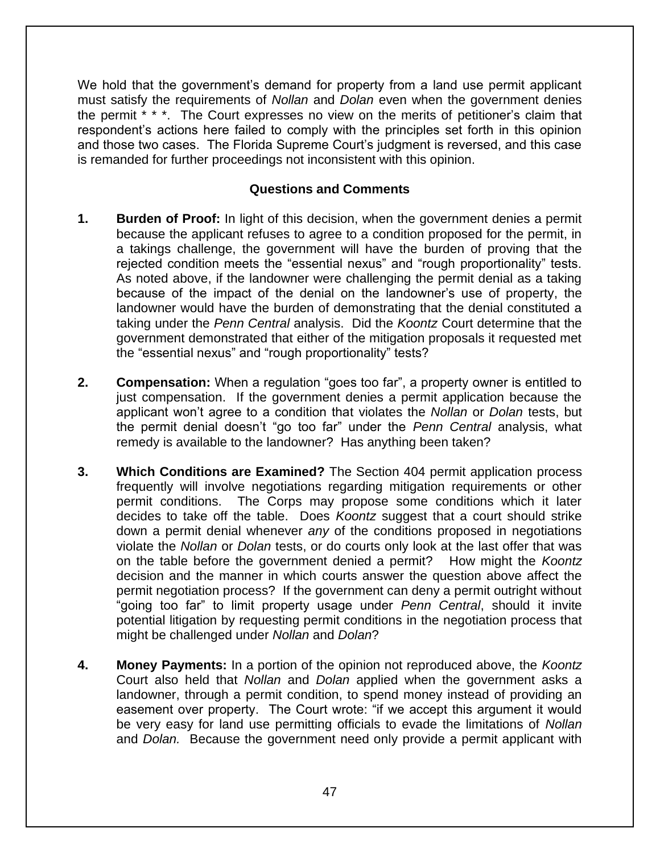We hold that the government's demand for property from a land use permit applicant must satisfy the requirements of *Nollan* and *Dolan* even when the government denies the permit \* \* \*. The Court expresses no view on the merits of petitioner's claim that respondent's actions here failed to comply with the principles set forth in this opinion and those two cases. The Florida Supreme Court's judgment is reversed, and this case is remanded for further proceedings not inconsistent with this opinion.

# **Questions and Comments**

- **1. Burden of Proof:** In light of this decision, when the government denies a permit because the applicant refuses to agree to a condition proposed for the permit, in a takings challenge, the government will have the burden of proving that the rejected condition meets the "essential nexus" and "rough proportionality" tests. As noted above, if the landowner were challenging the permit denial as a taking because of the impact of the denial on the landowner's use of property, the landowner would have the burden of demonstrating that the denial constituted a taking under the *Penn Central* analysis. Did the *Koontz* Court determine that the government demonstrated that either of the mitigation proposals it requested met the "essential nexus" and "rough proportionality" tests?
- **2. Compensation:** When a regulation "goes too far", a property owner is entitled to just compensation. If the government denies a permit application because the applicant won't agree to a condition that violates the *Nollan* or *Dolan* tests, but the permit denial doesn't "go too far" under the *Penn Central* analysis, what remedy is available to the landowner? Has anything been taken?
- **3. Which Conditions are Examined?** The Section 404 permit application process frequently will involve negotiations regarding mitigation requirements or other permit conditions. The Corps may propose some conditions which it later decides to take off the table. Does *Koontz* suggest that a court should strike down a permit denial whenever *any* of the conditions proposed in negotiations violate the *Nollan* or *Dolan* tests, or do courts only look at the last offer that was on the table before the government denied a permit? How might the *Koontz* decision and the manner in which courts answer the question above affect the permit negotiation process? If the government can deny a permit outright without "going too far" to limit property usage under *Penn Central*, should it invite potential litigation by requesting permit conditions in the negotiation process that might be challenged under *Nollan* and *Dolan*?
- **4. Money Payments:** In a portion of the opinion not reproduced above, the *Koontz* Court also held that *Nollan* and *Dolan* applied when the government asks a landowner, through a permit condition, to spend money instead of providing an easement over property. The Court wrote: "if we accept this argument it would be very easy for land use permitting officials to evade the limitations of *Nollan* and *Dolan.* Because the government need only provide a permit applicant with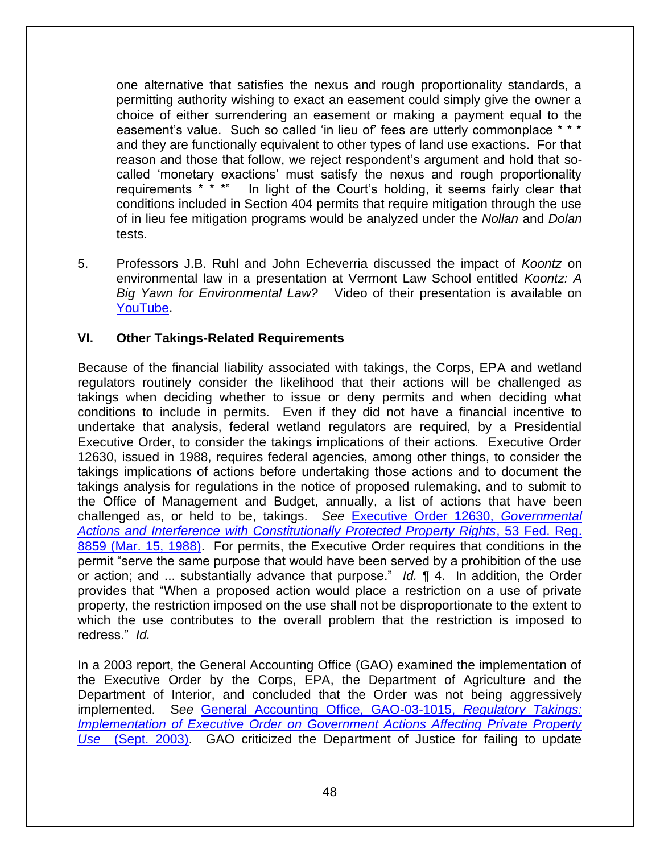one alternative that satisfies the nexus and rough proportionality standards, a permitting authority wishing to exact an easement could simply give the owner a choice of either surrendering an easement or making a payment equal to the easement's value. Such so called 'in lieu of' fees are utterly commonplace \*\*\* and they are functionally equivalent to other types of land use exactions. For that reason and those that follow, we reject respondent's argument and hold that socalled 'monetary exactions' must satisfy the nexus and rough proportionality requirements \* \* \*" In light of the Court's holding, it seems fairly clear that conditions included in Section 404 permits that require mitigation through the use of in lieu fee mitigation programs would be analyzed under the *Nollan* and *Dolan* tests.

5. Professors J.B. Ruhl and John Echeverria discussed the impact of *Koontz* on environmental law in a presentation at Vermont Law School entitled *Koontz: A Big Yawn for Environmental Law?* Video of their presentation is available on [YouTube.](https://www.youtube.com/watch?v=YbVxU-leFLo&feature=youtu.be)

## **VI. Other Takings-Related Requirements**

Because of the financial liability associated with takings, the Corps, EPA and wetland regulators routinely consider the likelihood that their actions will be challenged as takings when deciding whether to issue or deny permits and when deciding what conditions to include in permits. Even if they did not have a financial incentive to undertake that analysis, federal wetland regulators are required, by a Presidential Executive Order, to consider the takings implications of their actions. Executive Order 12630, issued in 1988, requires federal agencies, among other things, to consider the takings implications of actions before undertaking those actions and to document the takings analysis for regulations in the notice of proposed rulemaking, and to submit to the Office of Management and Budget, annually, a list of actions that have been challenged as, or held to be, takings. *See* [Executive Order 12630,](http://www.archives.gov/federal-register/codification/executive-order/12630.html) *Governmental [Actions and Interference with Constitutionally Protected Property Rights](http://www.archives.gov/federal-register/codification/executive-order/12630.html)*, 53 Fed. Reg. [8859 \(Mar. 15, 1988\).](http://www.archives.gov/federal-register/codification/executive-order/12630.html) For permits, the Executive Order requires that conditions in the permit "serve the same purpose that would have been served by a prohibition of the use or action; and ... substantially advance that purpose." *Id.* ¶ 4. In addition, the Order provides that "When a proposed action would place a restriction on a use of private property, the restriction imposed on the use shall not be disproportionate to the extent to which the use contributes to the overall problem that the restriction is imposed to redress." *Id.*

In a 2003 report, the General Accounting Office (GAO) examined the implementation of the Executive Order by the Corps, EPA, the Department of Agriculture and the Department of Interior, and concluded that the Order was not being aggressively implemented. S*ee* [General Accounting Office, GAO-03-1015,](http://www.gao.gov/new.items/d031015.pdf) *Regulatory Takings: [Implementation of Executive Order on Government Actions Affecting Private Property](http://www.gao.gov/new.items/d031015.pdf)  Use* [\(Sept. 2003\).](http://www.gao.gov/new.items/d031015.pdf) GAO criticized the Department of Justice for failing to update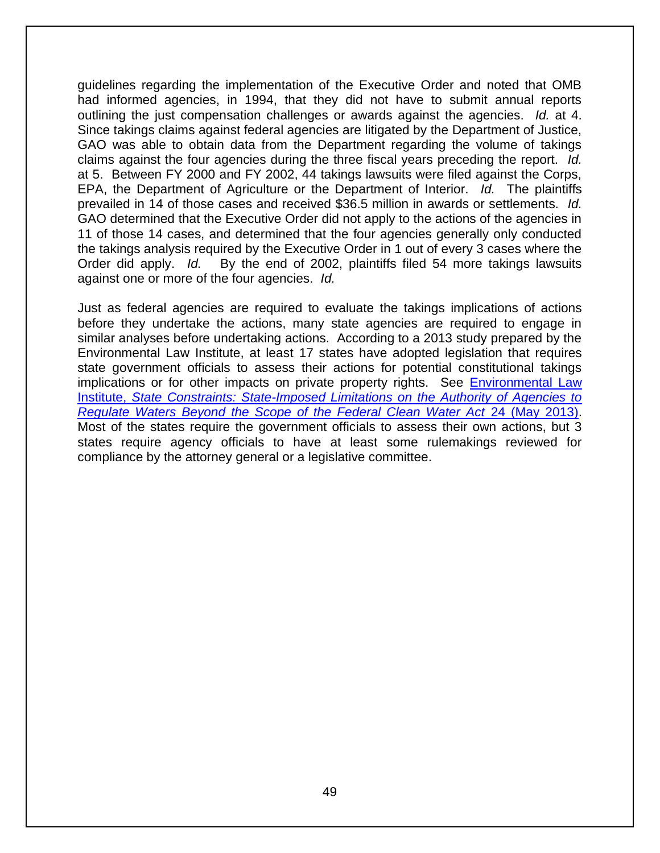guidelines regarding the implementation of the Executive Order and noted that OMB had informed agencies, in 1994, that they did not have to submit annual reports outlining the just compensation challenges or awards against the agencies. *Id.* at 4. Since takings claims against federal agencies are litigated by the Department of Justice, GAO was able to obtain data from the Department regarding the volume of takings claims against the four agencies during the three fiscal years preceding the report. *Id.* at 5. Between FY 2000 and FY 2002, 44 takings lawsuits were filed against the Corps, EPA, the Department of Agriculture or the Department of Interior. *Id.* The plaintiffs prevailed in 14 of those cases and received \$36.5 million in awards or settlements. *Id.*  GAO determined that the Executive Order did not apply to the actions of the agencies in 11 of those 14 cases, and determined that the four agencies generally only conducted the takings analysis required by the Executive Order in 1 out of every 3 cases where the Order did apply. *Id.* By the end of 2002, plaintiffs filed 54 more takings lawsuits against one or more of the four agencies. *Id.* 

Just as federal agencies are required to evaluate the takings implications of actions before they undertake the actions, many state agencies are required to engage in similar analyses before undertaking actions. According to a 2013 study prepared by the Environmental Law Institute, at least 17 states have adopted legislation that requires state government officials to assess their actions for potential constitutional takings implications or for other impacts on private property rights. See [Environmental Law](http://www.eli.org/sites/default/files/eli-pubs/d23-04.pdf)  Institute, *[State Constraints: State-Imposed Limitations on the Authority of Agencies to](http://www.eli.org/sites/default/files/eli-pubs/d23-04.pdf)  [Regulate Waters Beyond the Scope of the Federal Clean Water Act](http://www.eli.org/sites/default/files/eli-pubs/d23-04.pdf)* 24 (May 2013). Most of the states require the government officials to assess their own actions, but 3 states require agency officials to have at least some rulemakings reviewed for compliance by the attorney general or a legislative committee.